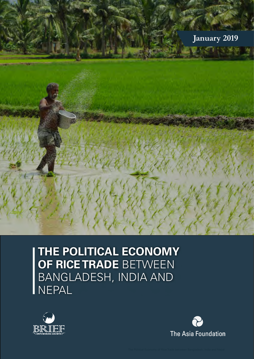

# **THE POLITICAL ECONOMY OF RICE TRADE** BETWEEN BANGLADESH, INDIA AND NEPAL



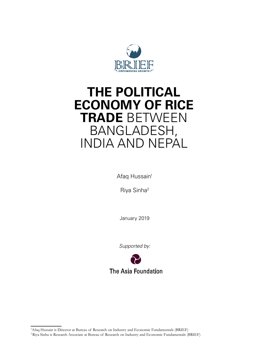

# **THE POLITICAL ECONOMY OF RICE TRADE** BETWEEN BANGLADESH, INDIA AND NEPAL

Afaq Hussain<sup>1</sup>

Riya Sinha2

January 2019

*Supported by:*



<sup>1</sup> Afaq Hussain is Director at Bureau of Research on Industry and Economic Fundamentals (BRIEF)

<sup>2</sup> Riya Sinha is Research Associate at Bureau of Research on Industry and Economic Fundamentals (BRIEF)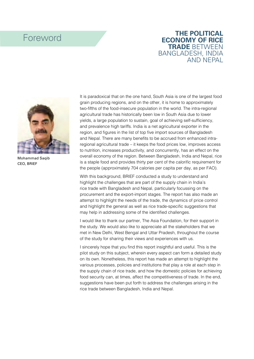### Foreword **THE POLITICAL ECONOMY OF RICE TRADE** BETWEEN BANGLADESH, INDIA AND NEPAL



Mohammad Saqib CEO, BRIEF

It is paradoxical that on the one hand, South Asia is one of the largest food grain producing regions, and on the other, it is home to approximately two-fifths of the food-insecure population in the world. The intra-regional agricultural trade has historically been low in South Asia due to lower yields, a large population to sustain, goal of achieving self-sufficiency, and prevalence high tariffs. India is a net agricultural exporter in the region, and figures in the list of top five import sources of Bangladesh and Nepal. There are many benefits to be accrued from enhanced intraregional agricultural trade – it keeps the food prices low, improves access to nutrition, increases productivity, and concurrently, has an effect on the overall economy of the region. Between Bangladesh, India and Nepal, rice is a staple food and provides thirty per cent of the calorific requirement for the people (approximately 704 calories per capita per day, as per FAO).

With this background, BRIEF conducted a study to understand and highlight the challenges that are part of the supply chain in India's rice trade with Bangladesh and Nepal, particularly focussing on the procurement and the export-import stages. The report has also made an attempt to highlight the needs of the trade, the dynamics of price control and highlight the general as well as rice trade-specific suggestions that may help in addressing some of the identified challenges.

I would like to thank our partner, The Asia Foundation, for their support in the study. We would also like to appreciate all the stakeholders that we met in New Delhi, West Bengal and Uttar Pradesh, throughout the course of the study for sharing their views and experiences with us.

I sincerely hope that you find this report insightful and useful. This is the pilot study on this subject, wherein every aspect can form a detailed study on its own. Nonetheless, this report has made an attempt to highlight the various processes, policies and institutions that play a role at each step in the supply chain of rice trade, and how the domestic policies for achieving food security can, at times, affect the competitiveness of trade. In the end, suggestions have been put forth to address the challenges arising in the rice trade between Bangladesh, India and Nepal.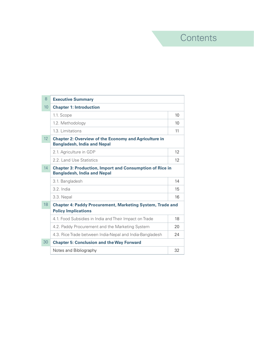**Contents** 

| 8  | <b>Executive Summary</b>                                                                              |    |  |  |  |  |
|----|-------------------------------------------------------------------------------------------------------|----|--|--|--|--|
| 10 | <b>Chapter 1: Introduction</b>                                                                        |    |  |  |  |  |
|    | 1.1. Scope                                                                                            | 10 |  |  |  |  |
|    | 1.2. Methodology                                                                                      | 10 |  |  |  |  |
|    | 1.3. Limitations                                                                                      | 11 |  |  |  |  |
| 12 | <b>Chapter 2: Overview of the Economy and Agriculture in</b><br><b>Bangladesh, India and Nepal</b>    |    |  |  |  |  |
|    | 2.1. Agriculture in GDP                                                                               | 12 |  |  |  |  |
|    | 2.2. Land Use Statistics                                                                              | 12 |  |  |  |  |
| 14 | <b>Chapter 3: Production, Import and Consumption of Rice in</b><br><b>Bangladesh, India and Nepal</b> |    |  |  |  |  |
|    | 3.1. Bangladesh                                                                                       | 14 |  |  |  |  |
|    | 3.2. India                                                                                            | 15 |  |  |  |  |
|    | 3.3. Nepal                                                                                            | 16 |  |  |  |  |
| 18 | <b>Chapter 4: Paddy Procurement, Marketing System, Trade and</b><br><b>Policy Implications</b>        |    |  |  |  |  |
|    | 4.1. Food Subsidies in India and Their Impact on Trade                                                | 18 |  |  |  |  |
|    | 4.2. Paddy Procurement and the Marketing System                                                       | 20 |  |  |  |  |
|    | 4.3. Rice Trade between India-Nepal and India-Bangladesh                                              | 24 |  |  |  |  |
| 30 | <b>Chapter 5: Conclusion and the Way Forward</b>                                                      |    |  |  |  |  |
|    | Notes and Bibliography                                                                                | 32 |  |  |  |  |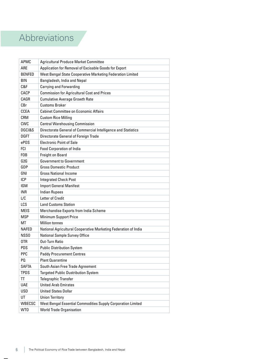# **Abbreviations**

| <b>APMC</b>      | Agricultural Produce Market Committee                           |
|------------------|-----------------------------------------------------------------|
| <b>ARE</b>       | Application for Removal of Excisable Goods for Export           |
| <b>BENFED</b>    | West Bengal State Cooperative Marketing Federation Limited      |
| <b>BIN</b>       | Bangladesh, India and Nepal                                     |
| C&F              | <b>Carrying and Forwarding</b>                                  |
| CACP             | <b>Commission for Agricultural Cost and Prices</b>              |
| CAGR             | <b>Cumulative Average Growth Rate</b>                           |
| CBr              | <b>Customs Broker</b>                                           |
| <b>CCEA</b>      | <b>Cabinet Committee on Economic Affairs</b>                    |
| <b>CRM</b>       | <b>Custom Rice Milling</b>                                      |
| <b>CWC</b>       | <b>Central Warehousing Commission</b>                           |
| DGCI&S           | Directorate General of Commercial Intelligence and Statistics   |
| <b>DGFT</b>      | Directorate General of Foreign Trade                            |
| ePOS             | <b>Electronic Point of Sale</b>                                 |
| <b>FCI</b>       | <b>Food Corporation of India</b>                                |
| F <sub>0</sub> B | Freight on Board                                                |
| G2G              | <b>Government to Government</b>                                 |
| GDP              | <b>Gross Domestic Product</b>                                   |
| GNI              | <b>Gross National Income</b>                                    |
| <b>ICP</b>       | <b>Integrated Check Post</b>                                    |
| <b>IGM</b>       | <b>Import General Manifest</b>                                  |
| <b>INR</b>       | <b>Indian Rupees</b>                                            |
| L/C              | <b>Letter of Credit</b>                                         |
| LCS              | <b>Land Customs Station</b>                                     |
| <b>MEIS</b>      | Merchandise Exports from India Scheme                           |
| MSP              | <b>Minimum Support Price</b>                                    |
| МT               | <b>Million tonnes</b>                                           |
| <b>NAFFD</b>     | National Agricultural Cooperative Marketing Federation of India |
| NSS <sub>0</sub> | National Sample Survey Office                                   |
| 0TR              | Out-Turn Ratio                                                  |
| PDS              | <b>Public Distribution System</b>                               |
| <b>PPC</b>       | <b>Paddy Procurement Centres</b>                                |
| PQ               | <b>Plant Quarantine</b>                                         |
| <b>SAFTA</b>     | South Asian Free Trade Agreement                                |
| <b>TPDS</b>      | <b>Targeted Public Dustribution System</b>                      |
| TT               | Telegraphic Transfer                                            |
| <b>UAE</b>       | <b>United Arab Emirates</b>                                     |
| <b>USD</b>       | <b>United States Dollar</b>                                     |
| UT               | <b>Union Territory</b>                                          |
| <b>WBECSC</b>    | West Bengal Essential Commodities Supply Corporation Limited    |
| WT0              | <b>World Trade Organisation</b>                                 |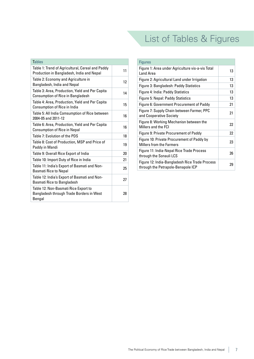# List of Tables & Figures

| <b>Tables</b>                                                                                 |    |
|-----------------------------------------------------------------------------------------------|----|
| Table 1: Trend of Agricultural, Cereal and Paddy<br>Production in Bangladesh, India and Nepal | 11 |
| Table 2: Economy and Agriculture in<br>Bangladesh, India and Nepal                            | 12 |
| Table 3: Area, Production, Yield and Per Capita<br><b>Consumption of Rice in Bangladesh</b>   | 14 |
| Table 4: Area, Production, Yield and Per Capita<br><b>Consumption of Rice in India</b>        | 15 |
| Table 5: All India Comsumption of Rice between<br>2004-05 and 2011-12                         | 16 |
| Table 6: Area, Production, Yield and Per Capita<br><b>Consumption of Rice in Nepal</b>        | 16 |
| Table 7: Evolution of the PDS                                                                 | 18 |
| Table 8: Cost of Production, MSP and Price of<br>Paddy in Mandi                               | 19 |
| Table 9: Overall Rice Export of India                                                         | 20 |
| Table 10: Import Duty of Rice in India                                                        | 21 |
| Table 11: India's Export of Basmati and Non-<br><b>Basmati Rice to Nepal</b>                  | 25 |
| Table 12: India's Export of Basmati and Non-<br><b>Basmati Rice to Bangladesh</b>             | 27 |
| Table 12: Non-Basmati Rice Export to<br>Bangladesh through Trade Borders in West<br>Bengal    | 28 |

| <b>Figures</b>                                                                       |    |
|--------------------------------------------------------------------------------------|----|
| Figure 1: Area under Agriculture vis-a-vis Total<br>Land Area                        | 13 |
| Figure 2: Agricultural Land under Irrigation                                         | 13 |
| Figure 3: Bangladesh: Paddy Statistics                                               | 13 |
| Figure 4: India: Paddy Statistics                                                    | 13 |
| Figure 5: Nepal: Paddy Statistics                                                    | 13 |
| Figure 6: Government Procurement of Paddy                                            | 21 |
| Figure 7: Supply Chain between Farmer, PPC<br>and Cooperative Society                | 21 |
| Figure 8: Working Mechanisn between the<br>Millers and the FCI                       | 22 |
| Figure 9: Private Procurement of Paddy                                               | 22 |
| Figure 10: Private Procurement of Paddy by<br><b>Millers from the Farmers</b>        | 23 |
| Figure 11: India-Nepal Rice Trade Process<br>through the Sonauli LCS                 | 26 |
| Figure 12: India-Bangladesh Rice Trade Process<br>through the Petrapole-Benapole ICP | 29 |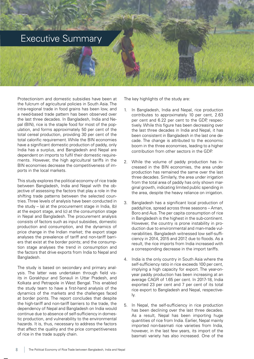### Executive Summary

Protectionism and domestic subsidies have been at the fulcrum of agricultural policies in South Asia. The intra-regional trade in food grains has been low, and a need-based trade pattern has been observed over the last three decades. In Bangladesh, India and Nepal (BIN), rice is the staple food for most of the population, and forms approximately 50 per cent of the total cereal production, providing 30 per cent of the total calorific requirement. While the BIN economies have a significant domestic production of paddy, only India has a surplus, and Bangladesh and Nepal are dependent on imports to fulfil their domestic requirements. However, the high agricultural tariffs in the BIN economies decrease the competitiveness of imports in the local markets.

This study explores the political economy of rice trade between Bangladesh, India and Nepal with the objective of assessing the factors that play a role in the shifting trade patterns between the selected countries. Three levels of analysis have been conducted in the study  $-$  (a) at the procurement stage in India, (b) at the export stage, and (c) at the consumption stage in Nepal and Bangladesh. The procurement analysis consists of factors such as input subsidies, domestic production and consumption, and the dynamics of price change in the Indian market; the export stage analyses the prevalence of tariff and non-tariff barriers that exist at the border points; and the consumption stage analyses the trend in consumption and the factors that drive exports from India to Nepal and Bangladesh.

The study is based on secondary and primary analysis. The latter was undertaken through field visits in Gorakhpur and Sonauli in Uttar Pradesh, and Kolkata and Petrapole in West Bengal. This enabled the study team to have a first-hand analysis of the dynamics of the markets and the challenges faced at border points. The report concludes that despite the high-tariff and non-tariff barriers to the trade, the dependency of Nepal and Bangladesh on India would continue due to absence of self-sufficiency in domestic production, and vulnerability to the environmental hazards. It is, thus, necessary to address the factors that affect the quality and the price competitiveness of rice in the trade supply chain.

The key highlights of the study are:

- 1. In Bangladesh, India and Nepal, rice production contributes to approximately 10 per cent, 2.63 per cent and 6.22 per cent to the GDP, respectively. While this figure has been decreasing over the last three decades in India and Nepal, it has been consistent in Bangladesh in the last one decade. The change is attributed to the economic boom in the three economies, leading to a higher contribution from other sectors in the GDP.
- 2. While the volume of paddy production has increased in the BIN economies, the area under production has remained the same over the last three decades. Similarly, the area under irrigation from the total area of paddy has only shown marginal growth, indicating limited public spending in the area, despite the heavy reliance on irrigation.
- 3. Bangladesh has a significant local production of paddy/rice, spread across three seasons – Aman, Boro and Aus. The per capita consumption of rice in Bangladesh is the highest in the sub-continent. However, the country is prone instability in production due to environmental and man-made vulnerabilities. Bangladesh witnessed low self-sufficiency in 2014, 2015 and 2017, due to floods. As a result, the rice imports from India increased with a corresponding decrease in the import tariffs.
- 4. India is the only country in South Asia where the self-sufficiency ratio in rice exceeds 100 per cent, implying a high capacity for export. The year-onyear paddy production has been increasing at an average CAGR of 1.65 per cent. In 2017-18, India exported 23 per cent and 7 per cent of its total rice export to Bangladesh and Nepal, respectively.
- 5. In Nepal, the self-sufficiency in rice production has been declining over the last three decades. As a result. Nepal has been importing huge quantities of rice from India. Earlier, Nepal mainly imported non-basmati rice varieties from India, however, in the last few years, its import of the basmati variety has also increased. One of the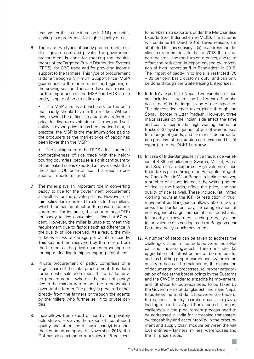reasons for this is the increase in GNI per capita, leading to a preference for higher quality of rice.

6. There are two types of paddy procurement in India – government and private. The government procurement is done for meeting the requirements of the Targeted Public Distribution System (TPDS), for G2G trade and for providing income support to the farmers. This type of procurement is done through a Minimum Support Price (MSP) guaranteed to the farmers are the beginning of the sowing season. There are two main reasons for the importance of the MSP and TPDS in rice trade, in spite of no direct linkages:

The MSP acts as a benchmark for the price that paddy should have in the market. Without this, it would be difficult to establish a reference price, leading to exploitation of farmers and variability in export price. It has been noticed that, in practice, the MSP is the maximum price paid to the producers as the market price of paddy has been lower than the MSP

- The leakages from the TPDS affect the price competitiveness of rice trade with the neighbouring countries, because a significant quantity of the leaked rice is exported at lower costs than the actual FOB price of rice. This leads to creation of importer distrust.
- 7. The miller plays an important role in converting paddy to rice for the government procurement as well as for the private parties. However, certain policy decisions lead to a loss for the millers, which then has an effect on the private rice procurement. For instance, the out-turn-ratio (OTR) for paddy to rice conversion is fixed at 67 per cent. However, the miller is unable to meet this requirement due to factors such as difference in the quality of rice received. As a result, the miller faces a loss of 4-5 kgs per quintal of paddy. This loss is then recovered by the millers from the farmers or the private parties procuring rice for export, leading to higher export price of rice.
- 8. Private procurement of paddy comprises of a larger share of the total procurement. It is done for domestic sale and export. It is a market-driven procurement – wherein the price of paddy/ rice in the market determines the remuneration given to the farmer. The paddy is procured either directly from the farmers or through the agents by the millers who further sell it to private parties.
- 9. India allows free export of rice by the privately held stocks. However, the export of rice of seed quality and other rice in husk (paddy) is under the restricted category. In November 2018, the GoI has also extended a subsidy of 5 per cent

to non-basmati exporters under the Merchandise Exports from India Scheme (MEIS). The scheme will continue till March 2019. Three reasons are attributed for this subsidy  $-$  (a) to address the decline in export in the latter half of 2018, (b) to support the small and medium enterprises, and (c) to offset the reduction in export caused by imposition of high import tariff in Bangladesh in 2018. The import of paddy in to India is restricted (70 – 80 per cent basic customs duty) and can only be done through the State Trading Enterprises.

- 10. In India's exports to Nepal, two varieties of rice are included – steam and half steam. Sambha rice (steam) is the largest kind of rice exported. The highest rice trade takes place through the Sonauli border in Uttar Pradesh. However, three major issues on the Indian side affect the time and cost of export: (a) high waiting period for trucks (2-3 days) in queue, (b) lack of warehouses for storage of goods, and (c) manual documentation process (of registration certificate and bill of export) from the DGFT Lucknow.
- 11. In case of India-Bangladesh rice trade, rice varieties of R-36 parboiled rice, Swarna, Minikit, Ratna and Sela rice are exported. High volume of rice trade takes place through the Petrapole Integrated Check Post in West Bengal in India. However, a number of issues increase the waiting period of rice at the border, affect the price, and the quality of rice as well. These include, (a) limited working hours at the ICP, (b) restriction in truck movement as Bangladesh allows 500 trucks to cross the border per day, (c) categorisation of rice as general cargo, instead of semi-perishable, for priority in movement, leading to delays, and (d) prevalence of a parking mafia at Bongaon near Petrapole delays truck movement.
- 12. A number of steps can be taken to address the challenges faced in rice trade between India-Nepal and India-Bangladesh. These include: (a) upgradation of infrastructure at border points, such as building proper warehouses wherein the quality of rice can be maintained, (b) digitisation of documentation processes, (c) proper categorisation of rice at the border points by the Customs and the CWC in order to expedite its movement, and (d) steps for outreach need to be taken by the Governments of Bangladesh, India and Nepal to address the trust deficit between the traders; the national industry chambers can also play a leading role in this. Apart from trade challenges, challenges in the procurement process need to be addressed in India for increasing transparency, traceability and accountability in the procurement and supply chain module between the various entities – farmers, millers, warehouses and the fair price shops.

h.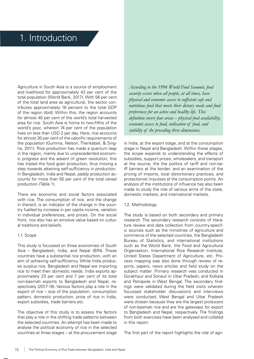## 1. Introduction

Agriculture in South Asia is a source of employment and livelihood for approximately 43 per cent of the total population (World Bank, 2017). With 56 per cent of the total land area as agricultural, the sector contributes approximately 16 percent to the total GDP of the region (ibid). Within this, the region accounts for almost 40 per cent of the world's total harvested area for rice. South Asia is home to two-fifths of the world's poor, wherein 74 per cent of the population lives on less than USD 2 per day. Here, rice accounts for almost 30 per cent of the calorific requirements of the population (Gumma, Nelson, Thenkabail, & Singha, 2011). Rice production has made a quantum leap in the region, mainly due to unprecedented economic progress and the advent of green revolution; this has tripled the food grain production, thus moving a step towards attaining self-sufficiency in production. In Bangladesh, India and Nepal, paddy production accounts for more than 50 per cent of the total cereal production (Table 1).

There are economic and social factors associated with rice. The consumption of rice, and the change in thereof, is an indicator of the change in the country fuelled by increase in per capita income, variation in individual preferences, and prices. On the social front, rice also has an emotive value based on cultural traditions and beliefs.

#### 1.1. Scope

This study is focussed on three economies of South Asia – Bangladesh, India, and Nepal (BIN). These countries have a substantial rice production, with an aim of achieving self-sufficiency. While India produces surplus rice, Bangladesh and Nepal are importing rice to meet their domestic needs. India exports approximately 23 per cent and 7 per cent of its total non-basmati exports to Bangladesh and Nepal, respectively (2017-18). Various factors play a role in the export of rice – size of the population, consumption pattern, domestic production, price of rice in India, export subsidies, trade barriers etc.

The objective of this study is to assess the factors that play a role in the shifting trade patterns between the selected countries. An attempt has been made to analyse the political economy of rice in the selected countries at three stages – at the procurement stage

*According to the 1996 World Food Summit, food security exists when all people, at all times, have physical and economic access to sufficient safe and nutritious food that meets their dietary needs and food preferences for an active and healthy life. This definition covers four areas – physical food availability, economic access to food, utilisation of food, and stability of the preceding three dimensions.*

in India, at the export stage, and at the consumption stage in Nepal and Bangladesh. Within these stages, the scope expands to understanding the effects of subsidies, support prices, wholesalers, and transport at the source; the the politics of tariff and non-tariff barriers at the border; and an examination of the pricing of imports, local distortionary practices, and protectionist impulses at the consumption points. An analysis of the institutions of influence has also been made to study the role of various arms of the state, domestic markets, and international markets.

#### 1.2. Methodology

The study is based on both secondary and primary research. The secondary research consists of literature review and data collection from country-specific sources such as the ministries of agriculture and commerce of the selected countries, the Bangladesh Bureau of Statistics, and international institutions such as the World Bank, the Food and Agricultural Organisation, International Rice Research Institute, United States Department of Agriculture, etc. Process mapping was also done through review of reports, papers, news articles and field study on the subject matter. Primary research was conducted in Gorakhpur and Sonauli in Uttar Pradesh, and Kolkata and Petrapole in West Bengal. The secondary findings were validated during the field visits wherein focussed stakeholder discussions and interviews were conducted. West Bengal and Uttar Pradesh were chosen because they are the largest producers of non-basmati rice and are the gateways for export to Bangladesh and Nepal, respectively. The findings from both exercises have been analysed and collated in this report.

The first part of the report highlights the role of agri-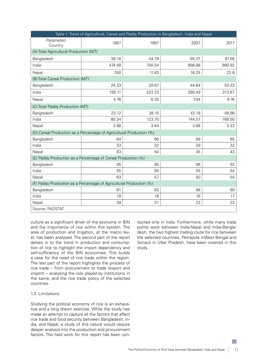|                                                                      | Table 1: Trend of Agricultural, Cereal and Paddy Production in Bangladesh, India and Nepal |        |        |        |  |  |
|----------------------------------------------------------------------|--------------------------------------------------------------------------------------------|--------|--------|--------|--|--|
| Parameter/<br>Country                                                | 1987                                                                                       | 1997   | 2007   | 2017   |  |  |
| (A) Total Agricultural Production (MT)                               |                                                                                            |        |        |        |  |  |
| Bangladesh                                                           | 38.18                                                                                      | 44.79  | 65.37  | 81.56  |  |  |
| India                                                                | 474.58                                                                                     | 700.54 | 898.88 | 990.92 |  |  |
| Nepal                                                                | 7.60                                                                                       | 11.83  | 16.25  | 22.8   |  |  |
| (B) Total Cereal Production (MT)                                     |                                                                                            |        |        |        |  |  |
| Bangladesh                                                           | 24.33                                                                                      | 29.67  | 44.84  | 53.33  |  |  |
| India                                                                | 156.11                                                                                     | 223.23 | 260.49 | 313.61 |  |  |
| Nepal                                                                | 4.76                                                                                       | 6.35   | 7.34   | 9.76   |  |  |
| (C) Total Paddy Production (MT)                                      |                                                                                            |        |        |        |  |  |
| Bangladesh                                                           | 23.12                                                                                      | 28.15  | 43.18  | 48.98  |  |  |
| India                                                                | 85.34                                                                                      | 123.70 | 144.57 | 168.50 |  |  |
| Nepal                                                                | 2.98                                                                                       | 3.64   | 3.68   | 5.23   |  |  |
| (D) Cereal Production as a Percentage of Agricultural Production (%) |                                                                                            |        |        |        |  |  |
| Bangladesh                                                           | 64                                                                                         | 66     | 69     | 65     |  |  |
| India                                                                | 33                                                                                         | 32     | 29     | 32     |  |  |
| Nepal                                                                | 63                                                                                         | 54     | 45     | 43     |  |  |
| (E) Paddy Production as a Percentage of Cereal Production (%)        |                                                                                            |        |        |        |  |  |
| Bangladesh                                                           | 95                                                                                         | 95     | 96     | 92     |  |  |
| India                                                                | 55                                                                                         | 55     | 55     | 54     |  |  |
| Nepal                                                                | 63                                                                                         | 57     | 50     | 54     |  |  |
| (F) Paddy Production as a Percentage of Agricultural Production (%)  |                                                                                            |        |        |        |  |  |
| Bangladesh                                                           | 61                                                                                         | 63     | 66     | 60     |  |  |
| India                                                                | 18                                                                                         | 18     | 16     | 17     |  |  |
| Nepal                                                                | 39                                                                                         | 31     | 23     | 23     |  |  |
| Source: FAOSTAT                                                      |                                                                                            |        |        |        |  |  |

culture as a significant driver of the economy in BIN and the importance of rice within this system. The area of production and irrigation, at the macro level, has been analysed. The second part of the report delves in to the trend in production and consumption of rice to highlight the import dependency and self-sufficiency of the BIN economies. This builds a case for the need of rice trade within the region. The last part of the report highlights the process of rice trade – from procurement to trade (export and import) – analysing the role played by institutions in the same, and the rice trade policy of the selected countries.

#### 1.3. Limitations

Studying the political economy of rice is an exhaustive and a long drawn exercise. While the study has made an attempt to capture all the factors that affect rice trade and food security between Bangladesh, India, and Nepal, a study of this nature would require deeper analysis into the production and procurement factors. The field work for this report has been conducted only in India. Furthermore, while many trade points exist between India-Nepal and India-Bangladesh, the two highest trading route for rice between the selected countries, Petrapole inWest Bengal and Sonauli in Uttar Pradesh, have been covered in this study.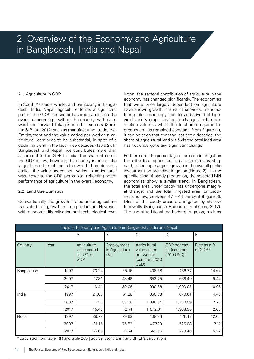# 2. Overview of the Economy and Agriculture in Bangladesh, India and Nepal

#### 2.1. Agriculture in GDP

In South Asia as a whole, and particularly in Bangladesh, India, Nepal, agriculture forms a significant part of the GDP. The sector has implications on the overall economic growth of the country, with backward and forward linkages in other sectors (Shekhar & Bhatt, 2012) such as manufacturing, trade, etc. Employment and the value added per worker in agriculture continues to be substantial, in spite of a declining trend in the last three decades (Table 2). In Bangladesh and Nepal, rice contributes more than 5 per cent to the GDP. In India, the share of rice in the GDP is low, however, the country is one of the largest exporters of rice in the world. Three decades earlier, the value added per worker in agriculture $\omega$ was closer to the GDP per capita, reflecting better performance of agriculture in the overall economy.

#### 2.2. Land Use Statistics

Conventionally, the growth in area under agriculture translated to a growth in crop production. However, with economic liberalisation and technological revolution, the sectoral contribution of agriculture in the economy has changed significantly. The economies that were once largely dependent on agriculture have shown growth in area of services, manufacturing, etc. Technology transfer and advent of highyield variety crops has led to changes in the production volumes whilst the total area required for production has remained constant. From Figure (1), it can be seen that over the last three decades, the share of agricultural land vis-à-vis the total land area has not undergone any significant change.

Furthermore, the percentage of area under irrigation from the total agricultural area also remains stagnant, reflecting marginal growth in the overall public investment on providing irrigation (Figure 2). In the specific case of paddy production, the selected BIN economies show a similar trend. In Bangladesh, the total area under paddy has undergone marginal change, and the total irrigated area for paddy remains low, between 47 – 48 per cent (Figure 3). Most of the paddy areas are irrigated by shallow tubewells (Bangladesh Bureau of Statistics, 2017). The use of taditional methods of irrigation, such as

| Table 2: Economy and Agriculture in Bangladesh, India and Nepal |                       |                                                        |                                     |                                                                     |                                            |                        |  |
|-----------------------------------------------------------------|-----------------------|--------------------------------------------------------|-------------------------------------|---------------------------------------------------------------------|--------------------------------------------|------------------------|--|
|                                                                 | E<br>B<br>С<br>D<br>A |                                                        |                                     |                                                                     |                                            |                        |  |
| Country                                                         | Year                  | Agriculture,<br>value added<br>as a % of<br><b>GDP</b> | Employment<br>in Agriculture<br>(%) | Agricultural<br>value added<br>per worker<br>(constant 2010<br>USD) | GDP per cap-<br>ita (constant<br>2010 USD) | Rice as a %<br>of GDP* |  |
| Bangladesh                                                      | 1997                  | 23.24                                                  | 65.16                               | 408.58                                                              | 466.77                                     | 14.64                  |  |
|                                                                 | 2007                  | 17.81                                                  | 48.46                               | 653.75                                                              | 666.40                                     | 9.44                   |  |
|                                                                 | 2017                  | 13.41                                                  | 39.06                               | 990.66                                                              | 1,093.05                                   | 10.06                  |  |
| India                                                           | 1997                  | 24.63                                                  | 61.28                               | 860.83                                                              | 670.61                                     | 4.43                   |  |
|                                                                 | 2007                  | 17.33                                                  | 53.68                               | 1,098.54                                                            | 1,130.09                                   | 2.77                   |  |
|                                                                 | 2017                  | 15.45                                                  | 42.74                               | 1,672.01                                                            | 1,963.55                                   | 2.63                   |  |
| Nepal                                                           | 1997                  | 38.78                                                  | 79.63                               | 408.86                                                              | 426.17                                     | 12.02                  |  |
|                                                                 | 2007                  | 31.16                                                  | 75.53                               | 477.29                                                              | 525.08                                     | 7.17                   |  |
|                                                                 | 2017                  | 27.03                                                  | 71.74                               | 549.06                                                              | 728.40                                     | 6.22                   |  |

\*Calculated from table 1(F) and table 2(A) | Source: World Bank and BRIEF's calculations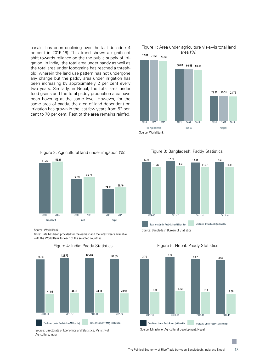canals, has been declining over the last decade ( 4 percent in 2015-16). This trend shows a significant shift towards reliance on the the public supply of irrigation. In India, the total area under paddy as well as the total area under foodgrains has reached a threshold, wherein the land use pattern has not undergone any change but the paddy area under irrigation has been increasing by approximately 2 per cent every two years. Similarly, in Nepal, the total area under food grains and the total paddy production area have been hovering at the same level. However, for the same area of paddy, the area of land dependent on irrigation has grown in the last few years from 52 percent to 70 per cent. Rest of the area remains rainfed.

Figure 1: Area under agriculture vis-a-vis total land area (%)



Figure 2: Agricultural land under irrigation (%)



Source: World Bank

Note: Data has been provided for the earliest and the latest years available with the World Bank for each of the selected countries



Figure 4: India: Paddy Statistics

Source: Directorate of Economics and Statistics, Ministry of Agriculture, India

Figure 3: Bangladesh: Paddy Statistics



Source: Bangladesh Bureau of Statistics

Figure 5: Nepal: Paddy Statistics

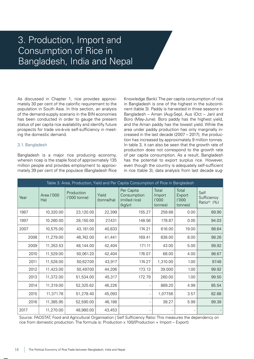# 3. Production, Import and Consumption of Rice in Bangladesh, India and Nepal

As discussed in Chapter 1, rice provides approximately 30 per cent of the calorific requirement to the population in South Asia. In this section, an analysis of the demand-supply scenario in the BIN economies has been conducted in order to gauge the present status of per capita rice availability and identify future prospects for trade vis-à-vis self-sufficiency in meeting the domestic demand.

#### 3.1. Bangladesh

Bangladesh is a major rice producing economy, wherein ricep is the staple food of approximately 135 million people and provides employment to approximately 39 per cent of the populace (Bangladesh Rice

Knowledge Bank). The per capita consumption of rice in Bangladesh is one of the highest in the subcontinent (table 3). Paddy is harvested in three seasons in Bangladesh – Aman (Aug-Sep), Aus (Oct – Jan) and Boro (May-June). Boro paddy has the highest yield, and the Aman paddy has the lowest yield. While the area under paddy production has only marginally increased in the last decade (2007 – 2017), the production has increased by approximately 9 million tonnes. In table 3, it can also be seen that the growth rate of production does not correspond to the growth rate of per capita consumption. As a result, Bangladesh has the potential to export surplus rice. However, even though the country is adequately self-sufficient in rice (table 3), data analysis from last decade sug-

| Table 3: Area, Production, Yield and Per Capita Consumption of Rice in Bangladesh |                   |                            |                     |                                                       |                                     |                                     |                                      |  |
|-----------------------------------------------------------------------------------|-------------------|----------------------------|---------------------|-------------------------------------------------------|-------------------------------------|-------------------------------------|--------------------------------------|--|
| Year                                                                              | Area ('000<br>Ha) | Production<br>('000 tonne) | Yield<br>(tonne/ha) | Per Capita<br>Consumption<br>(milled rice)<br>(kg/yr) | Total<br>Import<br>(000)<br>tonnes) | Total<br>Export<br>(000)<br>tonnes) | Self<br>Sufficiency<br>Ratio(ii) (%) |  |
| 1987                                                                              | 10,320.00         | 23,120.00                  | 22,399              | 155.27                                                | 259.68                              | 0.00                                | 89.90                                |  |
| 1997                                                                              | 10.260.00         | 28,150.00                  | 27,431              | 148.56                                                | 178.87                              | 0.05                                | 94.03                                |  |
| 2007                                                                              | 10,575.00         | 43,181.00                  | 40,833              | 174.21                                                | 616.00                              | 19.00                               | 98.64                                |  |
| 2008                                                                              | 11,279.00         | 46,742.00                  | 41,441              | 169.41                                                | 838.00                              | 8.00                                | 98.26                                |  |
| 2009                                                                              | 11,353.53         | 48,144.00                  | 42,404              | 171.11                                                | 43.00                               | 5.00                                | 99.92                                |  |
| 2010                                                                              | 11,529.00         | 50,061.20                  | 42,404              | 176.07                                                | 68.00                               | 4.00                                | 98.67                                |  |
| 2011                                                                              | 11,528.00         | 50,627.00                  | 43,917              | 174.27                                                | 1,310.00                            | 1.00                                | 97.48                                |  |
| 2012                                                                              | 11,423.00         | 50,497.00                  | 44,206              | 173.13                                                | 39.000                              | 1.00                                | 99.92                                |  |
| 2013                                                                              | 11,372.00         | 51,534.00                  | 45,317              | 172.79                                                | 260.00                              | 1.00                                | 99.50                                |  |
| 2014                                                                              | 11,319.00         | 52,325.62                  | 46,226              |                                                       | 889.20                              | 4.99                                | 85.54                                |  |
| 2015                                                                              | 11,371.78         | 51,278.40                  | 45,093              |                                                       | 1,077.56                            | 3.57                                | 82.68                                |  |
| 2016                                                                              | 11,385.95         | 52,590.00                  | 46,188              |                                                       | 38.27                               | 5.99                                | 99.39                                |  |
| 2017                                                                              | 11,270.00         | 48,980.00                  | 43,453              |                                                       |                                     |                                     |                                      |  |

Source: FAOSTAT, Food and Agricultural Organisation | Self Sufficiency Ratio: This measures the dependency on rice from domestic production. The formula is: Production x 100/(Production + Import – Export)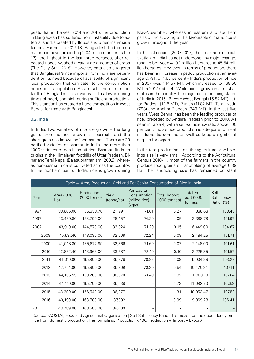gests that in the year 2014 and 2015, the production in Bangladesh has suffered from instability due to external shocks created by floods and other man-made factors. Further, in 2017-18, Bangladesh had been a major rice buyer, importing 2.04 million tonnes (table 12), the highest in the last three decades, after repeated floods washed away huge amounts of crops (The Daily Star, 2018). However, data also suggests that Bangladesh's rice imports from India are dependent on its need because of availability of significant local production that can cater to the consumption needs of its population. As a result, the rice import tariff of Bangladesh also varies – it is lower during times of need, and high during sufficient production. This situation has created a huge competition in West Bengal for trade with Bangladesh.

#### 3.2. India

In India, two varieties of rice are grown – the long grain, aromatic rice known as 'basmati' and the short-grain rice known as 'non-basmati'. There are 29 notified varieties of basmati in India and more than 1000 varieties of non-basmati rice. Basmati finds its origins in the Himalayan foothills of Uttar Pradesh, Bihar and Terai Nepal (Balasubramaniam, 2002), whereas non-basmati rice is cultivated across the country. In the northern part of India, rice is grown during

May-November, whereas in eastern and southern parts of India, owing to the favourable climate, rice is grown throughout the year.

In the last decade (2007-2017), the area under rice cultivation in India has not undergone any major change, ranging between 41.92 million hectares to 45.54 million hectares. However, in terms of production, there has been an increase in paddy production at an average CAGR of 1.65 percent - India's production of rice in 2007 was 144.57 MT, which increased to 168.50 MT in 2017 (table 4). While rice is grown in almost all states in the country, the major rice producing states of India in 2015-16 were West Bengal (15.82 MT), Uttar Pradesh (12.5 MT), Punjab (11.82 MT), Tamil Nadu (7.93) and Andhra Pradesh (7.49 MT). In the last five years, West Bengal has been the leading producer of rice, preceded by Andhra Pradesh prior to 2010. As seen in table 4, with a self-sufficiency ratio above 100 per cent, India's rice production is adequate to meet its domestic demand as well as keep a significant surplus for export.

In the total production area, the agricultural land holdings size is very small. According to the Agricultural Census 2010-11, most of the farmers in the country produce food grains on landholding of average 0.39 Ha. The landholding size has remained constant

| Table 4: Area, Production, Yield and Per Capita Consumption of Rice in India |                   |                            |                     |                                                       |                                      |                                    |                                  |
|------------------------------------------------------------------------------|-------------------|----------------------------|---------------------|-------------------------------------------------------|--------------------------------------|------------------------------------|----------------------------------|
| Year                                                                         | Area ('000<br>Ha) | Production<br>('000 tonne) | Yield<br>(tonne/ha) | Per Capita<br>Consumption<br>(milled rice)<br>(kg/yr) | <b>Total Import</b><br>('000 tonnes) | Total Ex-<br>port ('000<br>tonnes) | Self<br>Sufficiency<br>Ratio (%) |
| 1987                                                                         | 38,806.00         | 85,338.70                  | 21,991              | 71.61                                                 | 5.27                                 | 388.68                             | 100.45                           |
| 1997                                                                         | 43,469.80         | 123,700.00                 | 28,457              | 74.20                                                 | .05                                  | 2,388.78                           | 101.97                           |
| 2007                                                                         | 43,910.00         | 144,570.00                 | 32,924              | 71.20                                                 | 0.15                                 | 6,449.00                           | 104.67                           |
| 2008                                                                         | 45,537.40         | 148,036.00                 | 32,509              | 72.24                                                 | 0.09                                 | 2,484.25                           | 101.71                           |
| 2009                                                                         | 41,918.30         | 135,672.99                 | 32,366              | 71.69                                                 | 0.07                                 | 2,148.00                           | 101.61                           |
| 2010                                                                         | 42,862.40         | 143,963.00                 | 33,587              | 72.10                                                 | 0.10                                 | 2,225.35                           | 101.57                           |
| 2011                                                                         | 44,010.00         | 157,900.00                 | 35,878              | 70.82                                                 | 1.09                                 | 5,004.28                           | 103.27                           |
| 2012                                                                         | 42,754.00         | 157,800.00                 | 36,909              | 70.30                                                 | 0.54                                 | 10,470.31                          | 107.11                           |
| 2013                                                                         | 44,135.95         | 159,200.00                 | 36,070              | 69.49                                                 | 1.32                                 | 11,300.10                          | 107.64                           |
| 2014                                                                         | 44,110.00         | 157,200.00                 | 35,638              |                                                       | 1.73                                 | 11,092.73                          | 107.59                           |
| 2015                                                                         | 43,390.00         | 156,540.00                 | 36,077              |                                                       | 1.31                                 | 10,953.47                          | 107.52                           |
| 2016                                                                         | 43,190.00         | 163,700.00                 | 37,902              | $\overline{a}$                                        | 0.99                                 | 9,869.28                           | 106.41                           |
| 2017                                                                         | 43,789.00         | 168,500.00                 | 38,480              |                                                       |                                      |                                    |                                  |

Source: FAOSTAT, Food and Agricultural Organisation | Self Sufficiency Ratio: This measures the dependency on rice from domestic production. The formula is: Production x 100/(Production + Import – Export)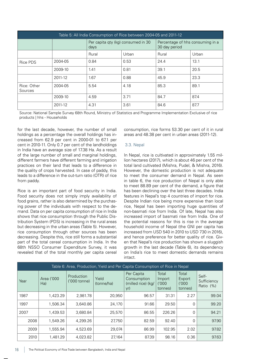| Table 5: All India Consumption of Rice between 2004-05 and 2011-12 |         |                                            |       |                                                   |       |  |
|--------------------------------------------------------------------|---------|--------------------------------------------|-------|---------------------------------------------------|-------|--|
|                                                                    |         | Per capita qty (kg) consumed in 30<br>days |       | Percentage of hhs consuming in a<br>30 day period |       |  |
|                                                                    |         | Rural                                      | Urban | Rural                                             | Urban |  |
| Rice PDS                                                           | 2004-05 | 0.84                                       | 0.53  | 24.4                                              | 13.1  |  |
|                                                                    | 2009-10 | 1.41                                       | 0.81  | 39.1                                              | 20.5  |  |
|                                                                    | 2011-12 | 1.67                                       | 0.88  | 45.9                                              | 23.3  |  |
| Rice: Other<br>Sources                                             | 2004-05 | 5.54                                       | 4.18  | 85.3                                              | 89.1  |  |
|                                                                    | 2009-10 | 4.59                                       | 3.71  | 84.7                                              | 87.4  |  |
|                                                                    | 2011-12 | 4.31                                       | 3.61  | 84.6                                              | 87.7  |  |

Source: National Sample Survey 68th Round, Ministry of Statistics and Programme Implementation Exclusive of rice products | hhs - Households

for the last decade, however, the number of small holdings as a percentage the overall holdings has increased from 62.9 per cent in 2000-01 to 67.1 per cent in 2010-11. Only 0.7 per cent of the landholdings in India have an average size of 17.38 Ha. As a result of the large number of small and marginal holdings, different farmers have different farming and irrigation practices on their land that leads to a difference in the quality of crops harvested. In case of paddy, this leads to a difference in the out-turn ratio (OTR) of rice from paddy.

Rice is an important part of food security in India. Food security does not simply imply availability of food grains, rather is also determined by the purchasing power of the individuals with respect to the demand. Data on per capita consumption of rice in India shows that rice consumption through the Public Distribution System (PDS) is increasing in the rural areas but decreasing in the urban areas (Table 5). However, rice consumption through other sources has been decreasing. Despite this, rice still forms a substantial part of the total cereal consumption in India. In the 68th NSSO Consumer Expenditure Survey, it was revealed that of the total monthly per capita cereal

consumption, rice forms 53.30 per cent of it in rural areas and 48.38 per cent in urban areas (2011-12).

#### 3.3. Nepal

In Nepal, rice is cultivated in approximately 1.55 million hectares (2017), which is about 46 per cent of the total land cultivated (Mishra, Pudel, & Mishra, 2016). However, the domestic production is not adequate to meet the consumer demand in Nepal. As seen in table 6, the rice production of Nepal is only able to meet 88.89 per cent of the demand, a figure that has been declining over the last three decades. India features in Nepal's top 4 countries of import for rice. Despite Indian rice being more expensive than local rice, Nepal has been importing huge quantities of non-basmati rice from India. Of late, Nepal has also increased import of basmati rise from India. One of the potential reasons for this is rise in the average household income of Nepal (the GNI per capita has increased from USD 540 in 2010 to USD 730 in 2016), and hence preference for better quality of rice. Given that Nepal's rice production has shown a sluggish growth in the last decade (Table 6), its dependency on India's rice to meet domestic demands remains intact.

| Table 6: Area, Production, Yield and Per Capita Consumption of Rice in Nepal |                   |                                 |                     |                                                        |                                      |                                     |                                   |
|------------------------------------------------------------------------------|-------------------|---------------------------------|---------------------|--------------------------------------------------------|--------------------------------------|-------------------------------------|-----------------------------------|
| Year                                                                         | Area ('000<br>Ha) | Production<br>$(000 \t{tonne})$ | Yield<br>(tonne/ha) | Per Capita<br>Consumption<br>(milled rice) (kg/<br>yr) | Total<br>Import<br>(1000)<br>tonnes) | Total<br>Export<br>(000)<br>tonnes) | Self-<br>Sufficiency<br>Ratio (%) |
| 1987                                                                         | 1,423.29          | 2,981.78                        | 20,950              | 96.57                                                  | 31.31                                | 2.27                                | 99.04                             |
| 1997                                                                         | 1,506.34          | 3,640.86                        | 24,170              | 91.66                                                  | 29.50                                | $\Omega$                            | 99.20                             |
| 2007                                                                         | 1,439.53          | 3,680.84                        | 25,570              | 86.55                                                  | 226.26                               | $\Omega$                            | 94.21                             |
| 2008                                                                         | 1,549.26          | 4,299.26                        | 27,750              | 82.59                                                  | 92.40                                | $\Omega$                            | 97.90                             |
| 2009                                                                         | 1,555.94          | 4,523.69                        | 29,074              | 86.99                                                  | 102.95                               | 2.02                                | 97.82                             |
| 2010                                                                         | 1,481.29          | 4,023.82                        | 27,164              | 87.39                                                  | 98.16                                | 0.36                                | 97.63                             |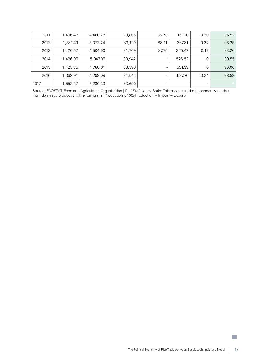| 2011 | 1,496.48 | 4,460.28 | 29,805 | 86.73                    | 161.10 | 0.30                         | 96.52 |
|------|----------|----------|--------|--------------------------|--------|------------------------------|-------|
| 2012 | 1,531.49 | 5,072.24 | 33,120 | 88.11                    | 367.31 | 0.27                         | 93.25 |
| 2013 | 1,420.57 | 4,504.50 | 31,709 | 87.75                    | 325.47 | 0.17                         | 93.26 |
| 2014 | 1,486.95 | 5,047.05 | 33,942 | $\overline{\phantom{0}}$ | 526.52 | 0                            | 90.55 |
| 2015 | 1,425.35 | 4,788.61 | 33,596 | -                        | 531.99 | 0                            | 90.00 |
| 2016 | 1,362.91 | 4,299.08 | 31,543 | -                        | 537.70 | 0.24                         | 88.89 |
| 2017 | 1,552.47 | 5,230.33 | 33,690 |                          | -      | $\qquad \qquad \blacksquare$ |       |

Source: FAOSTAT, Food and Agricultural Organisation | Self Sufficiency Ratio: This measures the dependency on rice from domestic production. The formula is: Production x 100/(Production + Import – Export)

 $\mathbb{R}^n$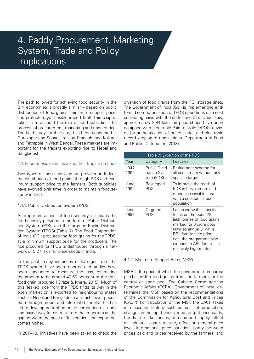# 4. Paddy Procurement, Marketing System, Trade and Policy Implications

The path followed for achieving food security in the BIN economies is broadly similar – based on public distribution of food grains, minimum support price, and protected, yet flexible import tariff. This chapter takes in to account the role of food subsidies, the process of procurement, marketing and trade of rice. The field study for the same has been conducted in Gorakhpur and Sonauli in Uttar Pradesh, and Kolkata and Petrapole in West Bengal. These markets are important for the traders exporting rice to Nepal and Bangladesh.

#### 4.1. Food Subsidies in India and their Impact on Trade

Two types of food subsidies are provided in India – the distribution of food grains through PDS and minimum support price to the farmers. Both subsidies have evolved over time in order to maintain food security in India.

#### 4.1.1. Public Distribution System (PDS)

An important aspect of food security in India is the food subsidy provided in the form of Public Distribution System (PDS) and the Targeted Public Distribution System (TPDS) (Table 7). The Food Corporation of India (FCI) procures the food grains for the TPDS, at a minimum support price for the producers. The rice procured for TPDS is distributed through a network of 5.27 lakh fair price shops in India.

In the past, many instances of leakages from the TPDS system have been reported and studies have been conducted to measure the loss, estimating the amount to be around 40-50 per cent of the total food grain procured ( Drèze & Khera, 2015). Much of this 'leaked' rice from the TPDS finds its way in the open market or is exported to neighbouring states such as Nepal and Bangladesh at much lower prices, both through proper and informal channels. This has led to development of an unfair competition in trade and paved way for distrust from the importers as the gap between the price of 'leaked rice' and export becomes higher.

In 2017-18, initiatives have been taken to check the

diversion of food grains from the FCI storage sites. The Government of India (GoI) is implementing endto-end computerisation of TPDS operations on a cost co-sharing basis with the states and UTs. Under this, approximately 2.84 lakh fair price shops have been equipped with electronic Point of Sale (ePOS) devices for authentication of beneficiaries and electronic record keeping of transactions (Department of Food and Public Distribution, 2018).

|               | Table 7: Evolution of the PDS              |                                                                                                                                                                                                                                                          |  |  |  |
|---------------|--------------------------------------------|----------------------------------------------------------------------------------------------------------------------------------------------------------------------------------------------------------------------------------------------------------|--|--|--|
| Year          | Category                                   | Features                                                                                                                                                                                                                                                 |  |  |  |
| 1947-<br>1992 | Public Distri-<br>bution Sys-<br>tem (PDS) | Entitlement scheme for<br>all consumers without any<br>specific target                                                                                                                                                                                   |  |  |  |
| June,<br>1992 | Revamped<br><b>PDS</b>                     | To improve the reach of<br>PDS in hilly, remote and<br>other inaccessible area<br>with a substantial poor<br>population                                                                                                                                  |  |  |  |
| June,<br>1997 | Targeted<br><b>PDS</b>                     | Launched with a specific<br>focus on the poor; 72<br>lakh tonnes of food grains<br>marked for 6 crore poor<br>families annually; while<br>BPL families are priori-<br>ties, the programme also<br>extends to APL families at<br>relatively higher rates. |  |  |  |

4.1.2. Minimum Support Price (MSP)

MSP is the price at which the government procures/ purchases the food grains from the farmers for the central or state pool. The Cabinet Committee on Economic Affairs (CCEA), Government of India, determines the MSP, based on the recommendations of the Commission for Agricultural Cost and Prices (CACP). For calculation of the MSP, the CACP takes into account factors such as cost of production, changes in the input prices, input-output price parity, trends in market prices, demand and supply, effect on industrial cost structure, effect on general price level, international price situation, parity between prices paid and prices received by the farmers, and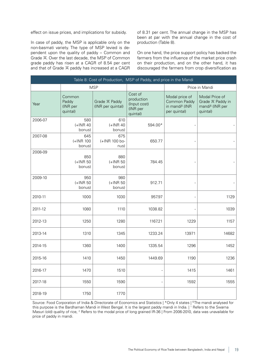effect on issue prices, and implications for subsidy.

In case of paddy, the MSP is applicable only on the non-basmati variety. The type of MSP levied is dependent upon the quality of paddy – Common and Grade 'A'. Over the last decade, the MSP of Common grade paddy has risen at a CAGR of 8.54 per cent and that of Grade 'A' paddy has increased at a CAGR of 8.31 per cent. The annual change in the MSP has been at par with the annual change in the cost of production (Table 8).

On one hand, the price support policy has backed the farmers from the influence of the market price crash on their production, and on the other hand, it has discouraged the farmers from crop diversification as

| Table 8: Cost of Production, MSP of Paddy, and price in the Mandi |                                         |                                      |                                                               |                                                                               |                                                                                  |  |  |
|-------------------------------------------------------------------|-----------------------------------------|--------------------------------------|---------------------------------------------------------------|-------------------------------------------------------------------------------|----------------------------------------------------------------------------------|--|--|
|                                                                   |                                         | <b>MSP</b>                           |                                                               | Price in Mandi                                                                |                                                                                  |  |  |
| Year                                                              | Common<br>Paddy<br>(INR per<br>quintal) | Grade 'A' Paddy<br>(INR per quintal) | Cost of<br>production<br>(Input cost)<br>(INR per<br>quintal) | Modal price of<br>Common Paddy<br>in mandi <sup>\$</sup> (INR<br>per quintal) | Modal Price of<br>Grade 'A' Paddy in<br>mandi <sup>\$</sup> (INR per<br>quintal) |  |  |
| 2006-07                                                           | 580<br>$(+$ INR 40<br>bonus)            | 610<br>$(+$ INR 40<br>bonus)         | 594.00*                                                       |                                                                               |                                                                                  |  |  |
| 2007-08                                                           | 645<br>$(+$ INR 100<br>bonus)           | 675<br>(+INR 100 bo-<br>nus)         | 650.77                                                        |                                                                               |                                                                                  |  |  |
| 2008-09                                                           | 850<br>$(+$ INR 50<br>bonus)            | 880<br>$(+$ INR 50<br>bonus)         | 784.45                                                        |                                                                               |                                                                                  |  |  |
| 2009-10                                                           | 950<br>$(+$ INR 50<br>bonus)            | 980<br>$(+$ INR 50<br>bonus)         | 912.71                                                        |                                                                               |                                                                                  |  |  |
| 2010-11                                                           | 1000                                    | 1030                                 | 957.97                                                        |                                                                               | 1129                                                                             |  |  |
| 2011-12                                                           | 1080                                    | 1110                                 | 1038.82                                                       |                                                                               | 1039                                                                             |  |  |
| 2012-13                                                           | 1250                                    | 1280                                 | 1167.21                                                       | 1229                                                                          | 1157                                                                             |  |  |
| 2013-14                                                           | 1310                                    | 1345                                 | 1233.24                                                       | 13971                                                                         | 14682                                                                            |  |  |
| 2014-15                                                           | 1360                                    | 1400                                 | 1335.54                                                       | 1296                                                                          | 1452                                                                             |  |  |
| 2015-16                                                           | 1410                                    | 1450                                 | 1449.69                                                       | 1190                                                                          | 1236                                                                             |  |  |
| 2016-17                                                           | 1470                                    | 1510                                 |                                                               | 1415                                                                          | 1461                                                                             |  |  |
| 2017-18                                                           | 1550                                    | 1590                                 |                                                               | 1592                                                                          | 1555                                                                             |  |  |
| 2018-19                                                           | 1750                                    | 1770                                 |                                                               |                                                                               |                                                                                  |  |  |

Source: Food Corporation of India & Directorate of Economics and Statistics | \*Only 4 states | \$ The mandi analysed for this purpose is the Bardhaman Mandi in West Bengal. It is the largest paddy mandi in India. | 1 Refers to the Swarna Masuri (old) quality of rice, <sup>2</sup> Refers to the modal price of long grained IR-36 | From 2006-2010, data was unavailable for price of paddy in mandi.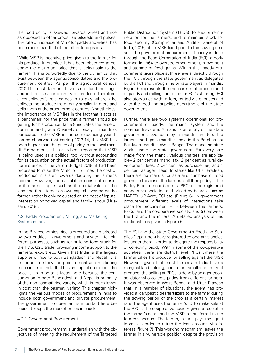the food policy is skewed towards wheat and rice as opposed to other crops like oilseeds and pulses. The rate of increase of MSP for paddy and wheat has been more than that of the other food-grains.

While MSP is incentive price given to the farmer for his produce; in practice, it has been observed to become the maximum price that is being paid to the farmer. This is purportedly due to the dynamics that exist between the agents/consolidators and the procurement centres. As per the agricultural census 2010-11, most farmers have small land holdings, and in turn, smaller quantity of produce. Therefore, a consolidator's role comes in to play wherein he collects the produce from many smaller farmers and sells them at the procurement centres. Nonetheless, the importance of MSP lies in the fact that it acts as a benchmark for the price that a farmer should be getting for his produce. Table 8 indicates the price of common and grade 'A' variety of paddy in mandi as compared to the MSP in the corresponding year. It can be observed that barring 2013-14, the MSP has been higher than the price of paddy in the local mandi. Furthermore, it has also been reported that MSP is being used as a political tool without accounting for its calculation on the actual factors of production. For instance, in the Union Budget 2018, it had been proposed to raise the MSP to 1.5 times the cost of production in a step towards doubling the farmer's income. However, the calculation does not consider the farmer inputs such as the rental value of the land and the interest on own capital invested by the farmer, rather is only calculated on the cost of inputs, interest on borrowed capital and family labour (Hussain, 2018).

#### 4.2. Paddy Procurement, Milling, and Marketing System in India

In the BIN economies, rice is procured and marketed by two entities – government and private – for different purposes, such as for building food stock for the PDS, G2G trade, providing income support to the farmers, export etc. Given that India is the largest supplier of rice to both Bangladesh and Nepal, it is important to study the procurement and marketing mechanism in India that has an impact on export. The price is an important factor here because the consumption in both Bangladesh and Nepal is primarily of the non-basmati rice variety, which is much lower in cost than the basmati variety. This chapter highlights the various modes of procurement in India to include both government and private procurement. The government procurement is important here because it keeps the market prices in check.

#### 4.2.1. Government Procurement

Government procurement is undertaken with the objectives of meeting the requirement of the Targeted

Public Distribution System (TPDS), to ensure remuneration for the farmers, and to maintain stock for food security (Comptroller and Auditor General of India, 2015) at an MSP fixed prior to the sowing season. The government procurement of paddy is done through the Food Corporation of India (FCI), a body formed in 1964 to oversee procurement, movement and storage of food grains. Within this, paddy procurement takes place at three levels: directly through the FCI, through the state government as delegated by the FCI and through the private players in mandis. Figure 6 represents the mechanism of procurement of paddy and milling it into rice for FCI's stocking. FCI also stocks rice with millers, rented warehouses and with the food and supplies department of the state government.

Further, there are two systems operational for procurement of paddy: the mandi system and the non-mandi system. A mandi is an entity of the state government, overseen by a mandi samittee. The largest food grain mandi in India is the Bardhaman/ Burdwan mandi in West Bengal. The mandi samitee works under the state government. For every sale made from the mandi, various charges are applicable– 2 per cent as mandi tax, 2 per cent as rural development fees, 2 per cent as purchase fee, and 1 per cent as agent fees. In states like Uttar Pradesh, there are no mandis for sale and purchase of food grains. In this case, the farmers sell their paddy at the Paddy Procurement Centres (PPC) or the registered cooperative societies authorised by boards such as NAFED, UP Agro, FCI etc. (Figure 6). In government procurement, different levels of interactions take place for procurement  $-$  (i) between the farmers, PPCs, and the co-operative society, and (ii) between the FCI and the millers. A detailed analysis of this relationship is given in Figure 6.

The FCI and the State Government's Food and Supplies Department have registered co-operative societies under them in order to delegate the responsibility of collecting paddy. Within some of the co-operative societies, there are district level PPCs where the farmer takes his produce for selling against the MSP. However, given that most farmers in India have a marginal land holding, and in turn smaller quantity of produce, the selling at PPCs is done by an agent/consolidator who collects paddy from different farmers. It was observed in West Bengal and Uttar Pradesh that, in a number of situations, the agent has provided a loan/pesticides/fertilizers to the farmer during the sowing period of the crop at a certain interest rate. The agent uses the farmer's ID to make sale at the PPCs. The cooperative society gives a receipt in the farmer's name and the MSP is transferred to the farmer's account. The farmer, in turn, pays the agent in cash in order to return the loan amount with interest (figure 7). This working mechanism leaves the farmer in a vulnerable position despite the provision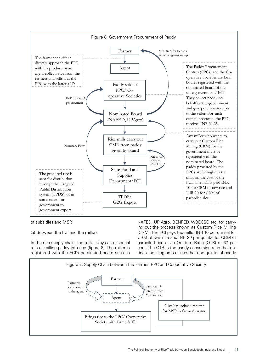

of subsidies and MSP.

(a) Between the FCI and the millers

In the rice supply chain, the miller plays an essential role of milling paddy into rice (figure 8). The miller is registered with the FCI's nominated board such as NAFED, UP Agro, BENFED, WBECSC etc. for carrying out the process known as Custom Rice Milling (CRM). The FCI pays the miller INR 10 per quintal for CRM of raw rice and INR 20 per quintal for CRM of parboiled rice at an Out-turn Ratio (OTR) of 67 per cent. The OTR is the paddy conversion ratio that defines the kilograms of rice that one quintal of paddy

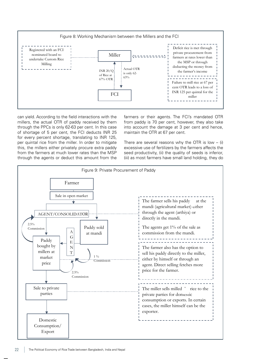

can yield. According to the field interactions with the millers, the actual OTR of paddy received by them through the PPCs is only 62-63 per cent. In this case of shortage of 5 per cent, the FCI deducts INR 25 for every percent shortage, translating to INR 125, per quintal rice from the miller. In order to mitigate this, the millers either privately procure extra paddy from the farmers at much lower rates than the MSP through the agents or deduct this amount from the

farmers or their agents. The FCI's mandated OTR from paddy is 70 per cent, however, they also take into account the damage at 3 per cent and hence, maintain the OTR at 67 per cent.

There are several reasons why the OTR is low  $-$  (i) excessive use of fertilizers by the farmers affects the seed productivity, (ii) the quality of seeds is inferior, (iii) as most farmers have small land holding, they do

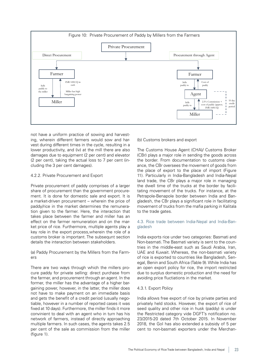

not have a uniform practice of sowing and harvesting, wherein different farmers would sow and harvest during different times in the cycle, resulting in a lower productivity, and (iv) at the mill there are also damages due to equipment (2 per cent) and elevator (2 per cent), taking the actual loss to 7 per cent (including the 3 per cent damages).

#### 4.2.2. Private Procurement and Export

Private procurement of paddy comprises of a larger share of procurement than the government procurement. It is done for domestic sale and export. It is a market-driven procurement – wherein the price of paddy/rice in the market determines the remuneration given to the farmer. Here, the interaction that takes place between the farmer and miller has an effect on the farmer remuneration and on the market price of rice. Furthermore, multiple agents play a key role in the export process,wherein the role of a customs broker is important. The subsequnt section details the interaction between stakeholders.

#### (a) Paddy Procurement by the Millers from the Farmers

There are two ways through which the millers procure paddy for private selling: direct purchase from the farmer, and procurement through an agent. In the former, the miller has the advantage of a higher bargaining power, however, in the latter, the miller does not have to make payment on an immediate basis and gets the benefit of a credit period (usually negotiable, however in a number of reported cases it was fixed at 10 days). Furthermore, the miller finds it more convinient to deal with an agent who in turn has his network of farmers, instead of directly approaching multiple farmers. In such cases, the agents takes 2.5 per cent of the sale as commission from the miller (figure 1).

#### (b) Customs brokers and export

The Customs House Agent (CHA)/ Customs Broker (CBr) plays a major role in sending the goods across the border. From documentation to customs clearance, the CBr oversees the movement of goods from the place of export to the place of import (Figure 11). Particularly in India-Bangladesh and India-Nepal land trade, the CBr plays a major role in managing the dwell time of the trucks at the border by facilitating movement of the trucks. For instance, at the Petrapole-Benapole border between India and Bangladesh, the CBr plays a significant role in facilitating movement of trucks from the mafia parking in Kalitala to the trade gates.

#### 4.3. Rice trade between India-Nepal and India-Bangladesh

India exports rice under two categories: Basmati and Non-basmati. The Basmati variety is sent to the countries in the middle-east such as Saudi Arabia, Iran, UAE and Kuwait. Whereas, the non-basmati variety of rice is exported to countries like Bangladesh, Senegal, Benin and South Africa (Table 9). While India has an open export policy for rice, the import restricted due to surplus domestic production and the need for avoiding price fluctiations in the market.

#### 4.3.1. Export Policy

India allows free export of rice by private parties and privately held stocks. However, the export of rice of seed quality and other rice in husk (paddy) is under the Restricted category vide DGFT's notification no. 23/2015-20 dated 7th October 2015. In November 2018, the GoI has also extended a subsidy of 5 per cent to non-basmati exporters under the Merchan-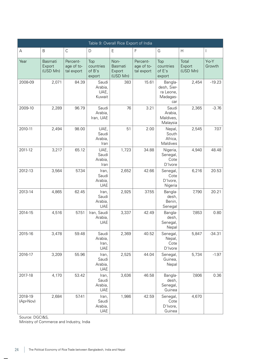| Table 9: Overall Rice Export of India |                               |                                      |                                         |                                              |                                      |                                                        |                             |                   |
|---------------------------------------|-------------------------------|--------------------------------------|-----------------------------------------|----------------------------------------------|--------------------------------------|--------------------------------------------------------|-----------------------------|-------------------|
| A                                     | B                             | $\mathsf C$                          | D                                       | $\mathsf E$                                  | F                                    | G                                                      | $\boldsymbol{\mathsf{H}}$   |                   |
| Year                                  | Basmati<br>Export<br>(USD Mn) | Percent-<br>age of to-<br>tal export | Top<br>countries<br>of B's<br>export    | Non-<br><b>Basmati</b><br>Export<br>(USD Mn) | Percent-<br>age of to-<br>tal export | Top<br>countries<br>of E's<br>export                   | Total<br>Export<br>(USD Mn) | $Y-O-Y$<br>Growth |
| 2008-09                               | 2,071                         | 84.39                                | Saudi<br>Arabia,<br>UAE,<br>Kuwait      | 383                                          | 15.61                                | Bangla-<br>desh, Sier-<br>ra Leone,<br>Madagas-<br>car | 2,454                       | $-19.23$          |
| 2009-10                               | 2,289                         | 96.79                                | Saudi<br>Arabia,<br>Iran, UAE           | 76                                           | 3.21                                 | Saudi<br>Arabia,<br>Maldives,<br>Malaysia              | 2,365                       | $-3.76$           |
| 2010-11                               | 2,494                         | 98.00                                | UAE,<br>Saudi<br>Arabia,<br>Iran        | 51                                           | 2.00                                 | Nepal,<br>South<br>Africa,<br>Maldives                 | 2,545                       | 7.07              |
| 2011-12                               | 3,217                         | 65.12                                | UAE,<br>Saudi<br>Arabia,<br>Iran        | 1,723                                        | 34.88                                | Nigeria,<br>Senegal,<br>Cote<br>D'Ivore                | 4,940                       | 48.48             |
| 2012-13                               | 3,564                         | 57.34                                | Iran,<br>Saudi<br>Arabia,<br><b>UAE</b> | 2,652                                        | 42.66                                | Senegal,<br>Cote<br>D'Ivore,<br>Nigeria                | 6,216                       | 20.53             |
| 2013-14                               | 4,865                         | 62.45                                | Iran,<br>Saudi<br>Arabia,<br><b>UAE</b> | 2,925                                        | 37.55                                | Bangla-<br>desh,<br>Benin,<br>Senegal                  | 7,790                       | 20.21             |
| 2014-15                               | 4,516                         | 57.51                                | Iran, Saudi<br>Arabia,<br><b>UAE</b>    | 3,337                                        | 42.49                                | Bangla-<br>desh,<br>Senegal,<br>Nepal                  | 7,853                       | 0.80              |
| 2015-16                               | 3,478                         | 59.48                                | Saudi<br>Arabia,<br>Iran,<br><b>UAE</b> | 2,369                                        | 40.52                                | Senegal,<br>Nepal,<br>Cote<br>D'Ivore                  | 5,847                       | $-34.31$          |
| 2016-17                               | 3,209                         | 55.96                                | Iran,<br>Saudi<br>Arabia,<br><b>UAE</b> | 2,525                                        | 44.04                                | Senegal,<br>Guinea,<br>Nepal                           | 5,734                       | $-1.97$           |
| 2017-18                               | 4,170                         | 53.42                                | Iran,<br>Saudi<br>Arabia,<br><b>UAE</b> | 3,636                                        | 46.58                                | Bangla-<br>desh,<br>Senegal,<br>Guinea                 | 7,806                       | 0.36              |
| 2018-19<br>(Apr-Nov)                  | 2,684                         | 57.41                                | Iran,<br>Saudi<br>Arabia,<br><b>UAE</b> | 1,986                                        | 42.59                                | Senegal,<br>Cote<br>D'Ivore,<br>Guinea                 | 4,670                       |                   |

Source: DGCI&S,

Ministry of Commerce and Industry, India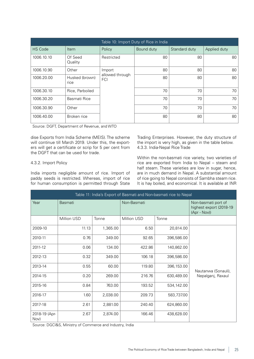| Table 10: Import Duty of Rice in India |                        |                        |            |               |              |  |  |
|----------------------------------------|------------------------|------------------------|------------|---------------|--------------|--|--|
| <b>HS Code</b>                         | Item                   | Policy                 | Bound duty | Standard duty | Applied duty |  |  |
| 1006.10.10                             | Of Seed<br>Quality     | Restricted             | 80         | 80            | 80           |  |  |
| 1006.10.90                             | Other                  | Import                 | 80         | 80            | 80           |  |  |
| 1006.20.00                             | Husked (brown)<br>rice | allowed through<br>FCI | 80         | 80            | 80           |  |  |
| 1006.30.10                             | Rice, Parboiled        |                        | 70         | 70            | 70           |  |  |
| 1006.30.20                             | Basmati Rice           |                        | 70         | 70            | 70           |  |  |
| 1006.30.90                             | Other                  |                        | 70         | 70            | 70           |  |  |
| 1006.40.00                             | Broken rice            |                        | 80         | 80            | 80           |  |  |

Source: DGFT, Department of Revenue, and WTO

dise Exports from India Scheme (MEIS). The scheme will continue till March 2019. Under this, the exporters will get a certificate or scrip for 5 per cent from the DGFT that can be used for trade.

#### 4.3.2. Import Policy

India imports negligible amount of rice. Import of paddy seeds is restricted. Whereas, import of rice for human consumption is permitted through State Trading Enterprises. However, the duty structure of the import is very high, as given in the table below. 4.3.3. India-Nepal Rice Trade

Within the non-basmati rice variety, two varieties of rice are exported from India to Nepal – steam and half steam. These varieties are low in sugar, hence, are in much demand in Nepal. A substantial amount of rice going to Nepal consists of Sambha steam rice. It is hay boiled, and economical. It is available at INR

| Table 11: India's Export of Basmati and Non-basmati rice to Nepal |                    |          |             |            |                                                                |  |  |  |
|-------------------------------------------------------------------|--------------------|----------|-------------|------------|----------------------------------------------------------------|--|--|--|
| Year                                                              | Basmati            |          | Non-Basmati |            | Non-basmati port of<br>highest export (2018-19<br>(Apr - Nov)) |  |  |  |
|                                                                   | <b>Million USD</b> | Tonne    | Million USD | Tonne      |                                                                |  |  |  |
| 2009-10                                                           | 11.13              | 1,365.00 | 6.50        | 20,814.00  |                                                                |  |  |  |
| 2010-11                                                           | 0.76               | 349.00   | 92.65       | 396,586.00 |                                                                |  |  |  |
| 2011-12                                                           | 0.06               | 134.00   | 422.86      | 140,862.00 |                                                                |  |  |  |
| 2012-13                                                           | 0.32               | 349.00   | 106.18      | 396,586.00 |                                                                |  |  |  |
| 2013-14                                                           | 0.55               | 60.00    | 119.80      | 396,153.00 | Nautanwa (Sonauli),                                            |  |  |  |
| 2014-15                                                           | 0.20               | 269.00   | 216.76      | 630,489.00 | Nepalganj, Raxaul                                              |  |  |  |
| 2015-16                                                           | 0.84               | 763.00   | 193.52      | 534,142.00 |                                                                |  |  |  |
| 2016-17                                                           | 1.60               | 2,038.00 | 209.73      | 583,737.00 |                                                                |  |  |  |
| 2017-18                                                           | 2.61               | 2,881.00 | 240.40      | 624,860.00 |                                                                |  |  |  |
| 2018-19 (Apr-<br>Nov)                                             | 2.67               | 2,874.00 | 166.46      | 438,628.00 |                                                                |  |  |  |

Source: DGCI&S, Ministry of Commerce and Industry, India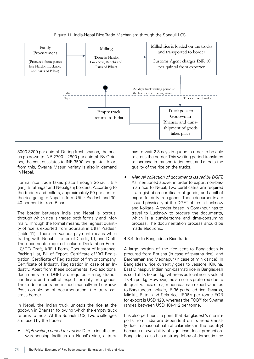

3000-3200 per quintal. During fresh season, the prices go down to INR 2700 – 2800 per quintal. By October, the cost escalates to INR 3500 per quintal. Apart from this, Swarna Masuri variety is also in demand in Nepal.

Formal rice trade takes place through Sonauli, Birganj, Biratnagar and Nepalganj borders. According to the traders and millers, approximately 50 per cent of the rice going to Nepal is form Uttar Pradesh and 30- 40 per cent is from Bihar.

The border between India and Nepal is porous, through which rice is traded both formally and informally. Through the formal means, the highest quantity of rice is exported from Sounauli in Uttar Pradesh (Table 11). There are various payment means while trading with Nepal – Letter of Credit, T.T, and Draft. The documents required include: Declaration Form, LC/ T.T/ Draft, ARE 1 Form, Document of Insurance, Packing List, Bill of Export, Certificate of VAT Registration, Certificate of Registration of firm or company, Certificate of Industry Registration in case of an Industry. Apart from these documents, two additional documents from DGFT are required – a registration certificate and a bill of export for duty free goods. These documents are issued manually in Lucknow. Post completion of documentation, the truck can cross border.

In Nepal, the Indian truck unloads the rice at the godown in Bhansar, following which the empty truck returns to India. At the Sonauli LCS, two challenges are faced by the traders:

*• High waiting period for trucks*: Due to insufficient warehousing facilities on Nepal's side, a truck has to wait 2-3 days in queue in order to be able to cross the border. This waiting period translates to increase in transportation cost and affects the quality of the rice on the trucks.

*• Manual collection of documents issued by DGFT:* As mentioned above, in order to export non-basmati rice to Nepal, two certificates are required – a registration certificate of goods, and a bill of export for duty free goods. These documents are issued physically at the DGFT office in Lucknow and Kolkata. A trader based in Gorakhpur has to travel to Lucknow to procure the documents, which is a cumbersome and time-consuming process. The documentation process should be made electronic.

#### 4.3.4. India-Bangladesh Rice Trade

A large portion of the rice sent to Bangladesh is procured from Borisha (in case of swarna rice), and Bardhaman and Mednapur (in case of minikit rice). In Bangladesh, rice currently goes to Jessore, Khulna, East Dinaspur. Indian non-basmati rice in Bangladesh is sold at TK 50 per kg, whereas as local rice is sold at TK 45 per kg. However, Indian rice is preferred due to its quality. India's major non-basmati export varieties to Bangladesh include, IR-36 parboiled rice, Swarna, Minikit, Ratna and Sela rice. IR36's per tonne FOB for export is USD 420, whereas the FOB(iii) for Swarna ranges between USD 401-412 per tonne.

It is also pertinent to point that Bangladesh's rice imports from India are dependent on its need (mostly due to seasonal natural calamities in the country) because of availability of significant local production. Bangladesh also has a strong lobby of domestic rice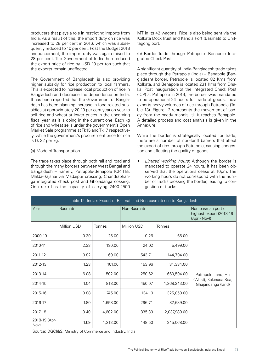producers that plays a role in restricting imports from India. As a result of this, the import duty on rice was increased to 28 per cent in 2016, which was subsequently reduced to 10 per cent. Post the Budget 2018 announcement, the import duty was again raised to 28 per cent. The Government of India then reduced the export price of rice by USD 10 per ton such that the exports remain unaffected.

The Government of Bangladesh is also providing higher subsidy for rice production to local farmers. This is expected to increase local production of rice in Bangladesh and decrease the dependence on India. It has been reported that the Government of Bangladesh has been planning increase in food related subsidies at approximately 20.10 per cent year-on-year to sell rice and wheat at lower prices in the upcoming fiscal year, as it is doing in the current one. Each kg of rice and wheat sells under the government's Open Market Sale programme at Tk15 and Tk17 respectively, while the government's procurement price for rice is Tk 32 per kg.

#### (a) Mode of Transportation

The trade takes place through both rail and road and through the many borders between West Bengal and Bangaldesh – namely, Petrapole-Benapole ICP, Hili, Malda-Rajshai via Madaipur crossing, Chandrabhanga integrated check post and Ghojadanga cossing. One rake has the capacity of carrying 2400-2500 MT in its 42 wagons. Rice is also being sent via the Kolkata Dock Trust and Kandla Port (Basmati) to Chittagong port.

(b) Border Trade through Petrapole- Benapole Integrated Check Post

A significant quantity of India-Bangladesh trade takes place through the Petrapole (India) – Benapole (Bangladesh) border. Petrapole is located 82 Kms from Kolkata, and Benapole is located 231 Kms from Dhaka. Post inauguration of the Integrated Check Post (ICP) at Petrapole in 2016, the border was mandated to be operational 24 hours for trade of goods. India exports heavy volumes of rice through Petrapole (Table 13). Figure 12 represents the movement of paddy from the paddy mandis, till it reaches Benapole. A detailed process and cost analysis is given in the Annexure.

While the border is strategically located for trade, there are a number of non-tariff barriers that affect the export of rice through Petrapole, causing congestion and affecting the quality of goods:

*• Limited working hours*: Although the border is mandated to operate 24 hours, it has been observed that the operations cease at 10pm. The working hours do not correspond with the number of trucks crossing the border, leading to congestion of trucks.

| Table 12: India's Export of Basmati and Non-basmati rice to Bangladesh |                |          |                    |              |                                                                |  |  |  |
|------------------------------------------------------------------------|----------------|----------|--------------------|--------------|----------------------------------------------------------------|--|--|--|
| Year                                                                   | <b>Basmati</b> |          | Non-Basmati        |              | Non-basmati port of<br>highest export (2018-19<br>(Apr - Nov)) |  |  |  |
|                                                                        | Million USD    | Tonnes   | <b>Million USD</b> | Tonnes       |                                                                |  |  |  |
| 2009-10                                                                | 0.39           | 25.00    | 0.26               | 65.00        |                                                                |  |  |  |
| 2010-11                                                                | 2.33           | 190.00   | 24.02              | 5,499.00     |                                                                |  |  |  |
| 2011-12                                                                | 0.82           | 69.00    | 543.71             | 144,704.00   |                                                                |  |  |  |
| 2012-13                                                                | 1.23           | 101.00   | 153.96             | 31,334.00    |                                                                |  |  |  |
| 2013-14                                                                | 6.08           | 502.00   | 250.62             | 660,594.00   | Petrapole Land, Hili                                           |  |  |  |
| 2014-15                                                                | 1.04           | 818.00   | 450.07             | 1,268,343.00 | (West), Kakinada Sea,<br>Ghajandanga (land)                    |  |  |  |
| 2015-16                                                                | 0.88           | 745.00   | 134.10             | 325,050.00   |                                                                |  |  |  |
| 2016-17                                                                | 1.80           | 1,658.00 | 296.71             | 82,689.00    |                                                                |  |  |  |
| 2017-18                                                                | 3.40           | 4,602.00 | 835.39             | 2,037,980.00 |                                                                |  |  |  |
| 2018-19 (Apr-<br>Nov)                                                  | 1.59           | 1,213.00 | 148.50             | 345,068.00   |                                                                |  |  |  |

Source: DGCI&S, Ministry of Commerce and Industry, India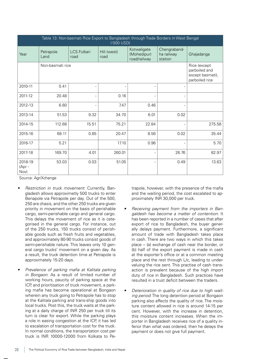| Table 13: Non-basmati Rice Export to Bangladesh through Trade Borders in West Bengal<br>('000 USD) |                   |                            |                     |                                            |                                       |            |  |
|----------------------------------------------------------------------------------------------------|-------------------|----------------------------|---------------------|--------------------------------------------|---------------------------------------|------------|--|
| Year                                                                                               | Petrapole<br>Land | <b>LCS Fulbari</b><br>road | Hili (west)<br>road | Kotwaligate<br>(Mohedipur)<br>road/railway | Chengraband-<br>ha railway<br>station | Ghajadanga |  |
|                                                                                                    | Non-basmati rice  |                            |                     |                                            |                                       |            |  |
| 2010-11                                                                                            | 0.41              | $\overline{a}$             |                     |                                            |                                       |            |  |
| 2011-12                                                                                            | 20.48             | $\overline{a}$             | 0.16                |                                            |                                       |            |  |
| 2012-13                                                                                            | 6.60              | $\overline{a}$             | 7.47                | 0.46                                       |                                       |            |  |
| 2013-14                                                                                            | 51.53             | 9.32                       | 34.70               | 6.01                                       | 0.02                                  |            |  |
| 2014-15                                                                                            | 112.68            | 15.51                      | 75.21               | 22.84                                      |                                       | 275.58     |  |
| 2015-16                                                                                            | 68.11             | 0.85                       | 20.47               | 8.56                                       | 0.02                                  | 35.44      |  |
| 2016-17                                                                                            | 5.21              |                            | 17.10               | 0.96                                       |                                       | 5.70       |  |
| 2017-18                                                                                            | 169.70            | 4.01                       | 260.01              | $\overline{a}$                             | 26.76                                 | 82.97      |  |
| 2018-19<br>(Apr -<br>Nov)                                                                          | 53.03             | 0.03                       | 51.05               |                                            | 0.49                                  | 13.63      |  |

Source: AgriXchange

- *• Restriction in truck movement*: Currently, Bangladesh allows approximetly 500 trucks to enter Benapole via Petrapole per day. Out of the 500, 250 are chasis, and the other 250 trucks are given priority in movement on the basis of perishable cargo, semi-perishable cargo and general cargo. This delays the movement of rice as it is categorised in the general cargo. For instance, out of the 250 trucks, 150 trucks consist of perishable goods such as fresh fruits and vegetables, and approximately 80-90 trucks consist goods of semi-perishable nature. This leaves only 10 general cargo trucks' movement on a given day. As a result, the truck detention time at Petrapole is approximately 15-20 days.
- *• Prevalence of parking mafia at Kalitala parking in Bongaon*: As a result of limited number of working hours, paucity of parking space at the ICP, and prioritisation of truck movement, a parking mafia has become operational at Bongaon wherein any truck going to Petrapole has to stop at the Kalitala parking and trans-ship goods into local trucks. Post this, the truck waits at the parking at a daily charge of INR 250 per truck till its turn is clear for export. While the parking plays a role in easing congestion at the ICP, it has led to escalation of transportation cost for the truck. In normal conditions, the transportation cost per truck is INR 10000-12000 from Kolkata to Pe-

trapole, however, with the presence of the mafia and the waiting period, the cost escalated to approximately INR 30,000 per truck.

- *• Receiving payment from the importers in Bangaldesh has become a matter of contention*: It has been reported in a number of cases that after export of rice to Bangladesh, the buyer generally delays payment. Furthermore, a significant amount of trade with Bangladesh takes place in cash. There are two ways in which this takes place – (a) exchange of cash near the border, or (b) half of the export payment is made in cash at the exporter's office or at a common meeting place and the rest through L/c, leading to undervaluing the rice sent. This practise of cash transaction is prevalent because of the high import duty of rice in Bangladesh. Such practices have resulted in a trust deficit between the traders.
- *• Deterioration in quality of rice due to high waiting period*: The long detention period at Bongaon parking also affects the quality of rice. The moisture content allowed in rice is around 14-15 per cent. However, with the increase in detention, this moisture content increases. When the importer in Bangladesh receives rice of a quality inferior than what was ordered, then he delays the payment or does not give full payment.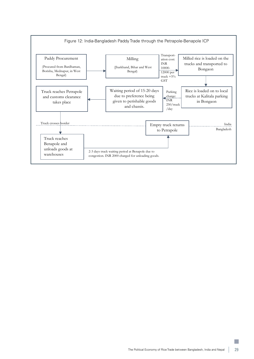

p.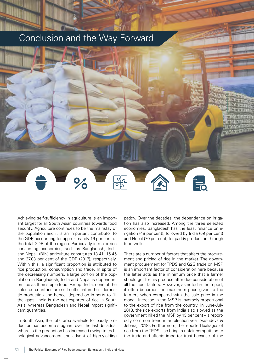# Conclusion and the Way Forward



Achieving self-sufficiency in agriculture is an important target for all South Asian countries towards food security. Agriculture continues to be the mainstay of the population and it is an important contributor to the GDP, accounting for approximately 16 per cent of the total GDP of the region. Particularly in major rice consuming economies, such as Bangladesh, India and Nepal, (BIN) agriculture constitutes 13.41, 15.45 and 27.03 per cent of the GDP (2017), respectively. Within this, a significant proportion is attributed to rice production, consumption and trade. In spite of the decreasing numbers, a large portion of the population in Bangladesh, India and Nepal is dependent on rice as their staple food. Except India, none of the selected countries are self-sufficient in their domestic production and hence, depend on imports to fill the gaps. India is the net exporter of rice in South Asia, whereas Bangladesh and Nepal import significant quantities.

In South Asia, the total area available for paddy production has become stagnant over the last decades, whereas the production has increased owing to technological advancement and advent of high-yielding paddy. Over the decades, the dependence on irrigation has also increased. Among the three selected economies, Bangladesh has the least reliance on irrigation (48 per cent), followed by India (59 per cent) and Nepal (70 per cent) for paddy production through tube-wells.

There are a number of factors that affect the procurement and pricing of rice in the market. The government procurement for TPDS and G2G trade on MSP is an important factor of consideration here because the latter acts as the minimum price that a farmer should get for his produce after due consideration of all the input factors. However, as noted in the report, it often becomes the maximum price given to the farmers when compared with the sale price in the mandi. Increase in the MSP is inversely proportional to the export of rice from the country. In June-July 2018, the rice exports from India also slowed as the government hiked the MSP by 13 per cent – a reportedly common trend in an election year (Vasudeva & Jebaraj, 2018). Furthermore, the reported leakages of rice from the TPDS also bring in unfair competition to the trade and affects importer trust because of the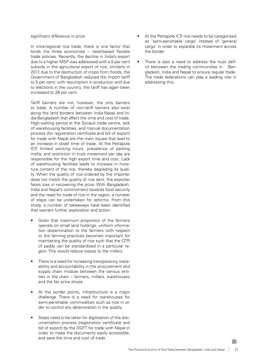significant difference in price.

In intra-regional rice trade, there is one factor that binds the three economies – need-based flexible trade policies. Recently, the decline in India's export due to a higher MSP was addressed with a 5 per cent subsidy in the agricultural export of rice; similarly in 2017, due to the destruction of crops from floods, the Government of Bangladesh reduced the import tariff to 5 per cent; with resumption in production and due to elections in the country, the tariff has again been increased to 28 per cent.

Tariff barriers are not, however, the only barriers to trade. A number of non-tariff barriers also exist along the land borders between India-Nepal and India-Bangladesh that affect the time and cost of trade. High-waiting period at the Sonauli trade centre, lack of warehousing facilities, and manual documentation process (for registration certificate and bill of export) for trade with Nepal are the main issues that lead to an increase in dwell time of trade. At the Petrapole ICP, limited working hours, prevalence of parking mafia, and restriction in truck movement per day are responsible for the high export time and cost. Lack of warehousing facilities leads to increase in moisture content of the rice, thereby degrading its quality. When the quality of rice ordered by the importer does not match the quality of rice sent, the exporter faces loss in recovering the price. With Bangladesh, India and Nepal's commitment towards food security and the need for trade of rice in the region, a number of steps can be undertaken for reforms. From this study, a number of takeaways have been identified that warrant further exploration and action:

- Given that maximum proportion of the farmers operate on small land holdings, uniform information dissemination to the farmers with respect to the farming practices becomes important for maintaining the quality of rice such that the OTR of paddy can be standardised in a particular region. This would reduce losses to the millers.
- There is a need for increasing transparency, traceability and accountability in the procurement and supply chain module between the various entities in the chain – farmers, millers, warehouses and the fair price shops.
- At the border points, infrastructure is a major challenge. There is a need for warehouses for semi-perishable commodities such as rice in order to control any deterioration in the quality
- Steps need to be taken for digitisation of the documentation process (registration certificate and bill of export) by the DGFT for trade with Nepal in order to make the documents easily accessible, and save the time and cost of trade
- At the Petrapole ICP, rice needs to be categorised as 'semi-perishable cargo' instead of 'general cargo' in order to expedite its movement across the border
- There is also a need to address the trust deficit between the trading communities in Bangladesh, India and Nepal to ensure regular trade. The trade federations can play a leading role in addressing this.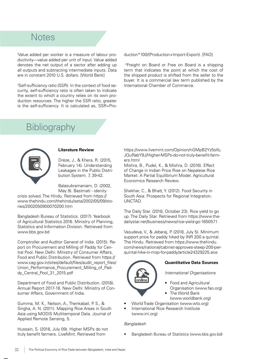### **Notes**

i Value added per worker is a measure of labour productivity—value added per unit of input. Value added denotes the net output of a sector after adding up all outputs and subtracting intermediate inputs. Data are in constant 2010 U.S. dollars. [World Bank]

iiSelf-sufficiency ratio (SSR): In the context of food security, self-sufficiency ratio is often taken to indicate the extent to which a country relies on its own production resources. The higher the SSR ratio, greater is the self-sufficiency. It is calculated as, SSR=Production\*100/(Production+Import-Export). [FAO]

 iiiFreight on Board or Free on Board is a shipping term that indicates the point at which the cost of the shipped product is shifted from the seller to the buyer. It is a commercial law term published by the International Chamber of Commerce.

# **Bibliography**



#### **Literature Review**

Drèze, J., & Khera, R. (2015, February 14). Understanding Leakages in the Public Distribution System. 7, 39-42.

Balasubramaniam, D. (2002, May 9). Bastmati - idenity

crisis solved. The Hindu. Retrieved from https:// www.thehindu.com/thehindu/seta/2002/05/09/stories/2002050900070200.htm

Bangladesh Bureau of Statistics. (2017). Yearbook of Agricultural Statistics 2016. Ministry of Planning, Statistics and Information Division. Retrieved from www.bbs.gov.bd

Comptroller and Auditor General of India. (2015). Report on Procurement and Milling of Paddy for Central Pool. New Delhi: Ministry of Consumer Affairs, Food and Public Distribution. Retrieved from https:// www.cag.gov.in/sites/default/files/audit\_report\_files/ Union\_Performance\_Procurement\_Milling\_of\_Paddy\_Central\_Pool\_31\_2015.pdf

Department of Food and Public Distribution. (2018). Annual Report 2017-18. New Delhi: Ministry of Consumer Affairs, Government of India.

Gumma, M. K., Nelson, A., Thenkabail, P. S., & Singha, A. N. (2011). Mapping Rice Areas in South Asia using MODIS Multitemporal Data. Journal of Applied Remote Sensing, 5.

Hussain, S. (2018, July 09). Higher MSPs do not truly benefit farmers. LiveMint. Retrieved from

https://www.livemint.com/Opinion/nGMpB2Yz5sltL-JQuRabY9J/Higher-MSPs-do-not-truly-benefit-farmers.html

Mishra, B., Pudel, K., & Mishra, D. (2016). Effect of Change in Indian Price Rise on Nepalese Rice Market: A Partial Equilibrium Model. Agricultural Economics Research Review.

Shekhar, C., & Bhatt, Y. (2012). Food Security in South Asia: Prospects for Regional Integration. UNCTAD.

The Daily Star. (2018, October 23). Rice yield to go up. The Daily Star. Retrieved from https://www.thedailystar.net/business/news/rice-yield-go-1650571

Vasudeva, V., & Jebaraj, P. (2018, July 5). Minimum support price for paddy hiked by INR 200 a quintal. The Hindu. Retrieved from https://www.thehindu. com/news/national/cabinet-approves-steep-200-perquintal-hike-in-msp-for-paddy/article24329225.ece



### **Quantitative Data Sources**

*International Organisations*

- Food and Agricultural Organisation (www.fao.org) • The World Bank
- (www.worldbank.org)
- World Trade Organisation (www.wto.org) • International Rice Research Institute (www.irri.org)

#### *Bangladesh*

• Bangladesh Bureau of Statistics (www.bbs.gov.bd)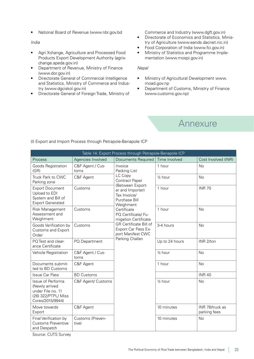• National Board of Revenue (www.nbr.gov.bd

#### *India*

- Agri Xchange, Agriculture and Processed Food Products Export Development Authority (agrixchange.apeda.gov.in)
- Department of Revenue, Ministry of Finance (www.dor.gov.in)
- Directorate General of Commercial Intelligence and Statistics, Ministry of Commerce and Industry (www.dgciskol.gov.in)
- Directorate General of Foreign Trade, Ministry of

Commerce and Industry (www.dgft.gov.in)

- Directorate of Economics and Statistics, Ministry of Agriculture (www.eands.dacnet.nic.in)
- Food Corporation of India (www.fci.gov.in)
- Ministry of Statistics and Programme Implementation (www.mospi.gov.in)

#### *Nepal*

- Ministry of Agricultural Development www. moad.gov.np
- Department of Customs, Ministry of Finance (www.customs.gov.np)

### **Annexure**

| Table 14: Export Process through Petrapole-Benapole ICP                                             |                           |                                                                                                                                                            |                      |                                 |  |  |
|-----------------------------------------------------------------------------------------------------|---------------------------|------------------------------------------------------------------------------------------------------------------------------------------------------------|----------------------|---------------------------------|--|--|
| Process                                                                                             | Agencies Involved         | <b>Documents Required</b>                                                                                                                                  | Time Involved        | Cost Involved (INR)             |  |  |
| Goods Registration<br>(GR)                                                                          | C&F Agent / Cus-<br>toms  | Invoice<br>Packing List                                                                                                                                    | 1 hour               | <b>No</b>                       |  |  |
| Truck Park to CWC<br>Parking zone                                                                   | C&F Agent                 | LC Copy<br><b>Contract Paper</b>                                                                                                                           | 1/ <sub>2</sub> hour | <b>No</b>                       |  |  |
| <b>Export Document</b><br>Upload to EDI<br>System and Bill of<br><b>Export Generated</b>            | Customs                   | (Between Export-<br>er and Importer)<br>Tax Invoice/<br>Purchase Bill<br>Weighment                                                                         | 1 hour               | <b>INR 70</b>                   |  |  |
| Risk Management<br>Assessment and<br>Weighment                                                      | Customs                   | Certificate<br>PQ Certificate/ Fu-<br>migation Certificate<br><b>GR Certificate Bill of</b><br>Export Car Pass Ex-<br>port Manifest CWC<br>Parking Challan | 1 hour               | No                              |  |  |
| Goods Verification by<br>Customs and Export<br>Order                                                | Customs                   |                                                                                                                                                            | 3-4 hours            | <b>No</b>                       |  |  |
| PQ Test and clear-<br>ance Certificate                                                              | PQ Department             |                                                                                                                                                            | Up to 24 hours       | INR 2/ton                       |  |  |
| Vehicle Registration                                                                                | C&F Agent / Cus-<br>toms  |                                                                                                                                                            | 1/ <sub>2</sub> hour | <b>No</b>                       |  |  |
| Documents submit-<br>ted to BD Customs                                                              | C&F Agent                 |                                                                                                                                                            | 1 hour               | <b>No</b>                       |  |  |
| <b>Issue Car Pass</b>                                                                               | <b>BD Customs</b>         |                                                                                                                                                            |                      | <b>INR 40</b>                   |  |  |
| Issue of Performa<br>(Newly arrived<br>under File no. 11<br>(26) 322/PTPL/ Miss<br>Cores/2015/9944) | C&F Agent/ Customs        |                                                                                                                                                            | 1/ <sub>2</sub> hour | <b>No</b>                       |  |  |
| Move towards<br>Export                                                                              | C&F Agent                 |                                                                                                                                                            | 10 minutes           | INR 78/truck as<br>parking fees |  |  |
| Final Verification by<br><b>Customs Preventive</b><br>and Despatch                                  | Customs (Preven-<br>tive) |                                                                                                                                                            | 10 minutes           | <b>No</b>                       |  |  |

(I) Export and Import Process through Petrapole-Benapole ICP

Source: CUTS Survey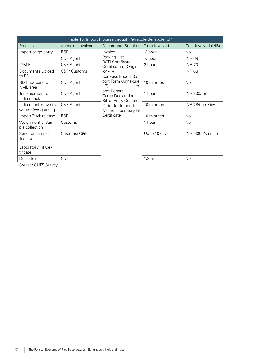| Table 15: Import Process through Petrapole-Benapole ICP |                   |                                                                                                                                                  |                      |                     |  |  |  |
|---------------------------------------------------------|-------------------|--------------------------------------------------------------------------------------------------------------------------------------------------|----------------------|---------------------|--|--|--|
| Process                                                 | Agencies Involved | <b>Documents Required</b>                                                                                                                        | Time Involved        | Cost Involved (INR) |  |  |  |
| Import cargo entry                                      | <b>BSF</b>        | Invoice                                                                                                                                          | $\frac{1}{2}$ hour   | No                  |  |  |  |
|                                                         | C&F Agent         | Packing List                                                                                                                                     | 1/ <sub>2</sub> hour | <b>INR 68</b>       |  |  |  |
| <b>IGM File</b>                                         | C&F Agent         | <b>BSTI</b> Certificate,<br>Certificate of Origin                                                                                                | 2 hours              | <b>INR 70</b>       |  |  |  |
| Documents Upload<br>to EDI                              | C&F/ Customs      | <b>SAFTA</b><br>Car Pass Import Re-<br>port Form (Annexure<br>$- B$<br>$Im-$<br>port Report<br>Cargo Declaration<br><b>Bill of Entry Customs</b> |                      | <b>INR 68</b>       |  |  |  |
| BD Truck park to<br>NML area                            | C&F Agent         |                                                                                                                                                  | 10 minutes           | <b>No</b>           |  |  |  |
| Transhipment to<br>Indian Truck                         | C&F Agent         |                                                                                                                                                  | 1 hour               | INR 800/ton         |  |  |  |
| Indian Truck move to-<br>wards CWC parking              | C&F Agent         | Order for Import Test<br>Memo Laboratory Fit                                                                                                     | 10 minutes           | INR 78/truck/day    |  |  |  |
| Import Truck release                                    | <b>BSF</b>        | Certificate                                                                                                                                      | 10 minutes           | <b>No</b>           |  |  |  |
| Weighment & Sam-<br>ple collection                      | Customs           |                                                                                                                                                  | 1 hour               | <b>No</b>           |  |  |  |
| Send for sample<br>Testing                              | Customs/C&F       |                                                                                                                                                  | Up to 10 days        | INR 3000/sample     |  |  |  |
| Laboratory Fit Cer-<br>tificate                         |                   |                                                                                                                                                  |                      |                     |  |  |  |
| Despatch                                                | C&F               |                                                                                                                                                  | $1/2$ hr             | <b>No</b>           |  |  |  |

Source: CUTS Survey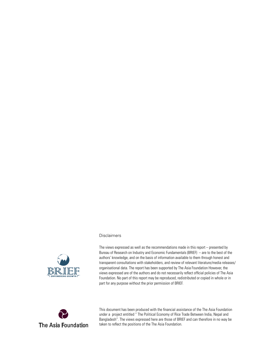#### **Disclaimers**



The views expressed as well as the recommendations made in this report – presented by Bureau of Research on Industry and Economic Fundamentals (BRIEF) – are to the best of the authors' knowledge, and on the basis of information available to them through honest and transparent consultations with stakeholders, and review of relevant literature/media releases/ organisational data. The report has been supported by The Asia Foundation However, the views expressed are of the authors and do not necessarily reflect official policies of The Asia Foundation. No part of this report may be reproduced, redistributed or copied in whole or in part for any purpose without the prior permission of BRIEF.



This document has been produced with the financial assistance of the The Asia Foundation under a project entitled " The Political Economy of Rice Trade Between India, Nepal and Bangladesh". The views expressed here are those of BRIEF and can therefore in no way be The Asia Foundation taken to reflect the positions of the The Asia Foundation.